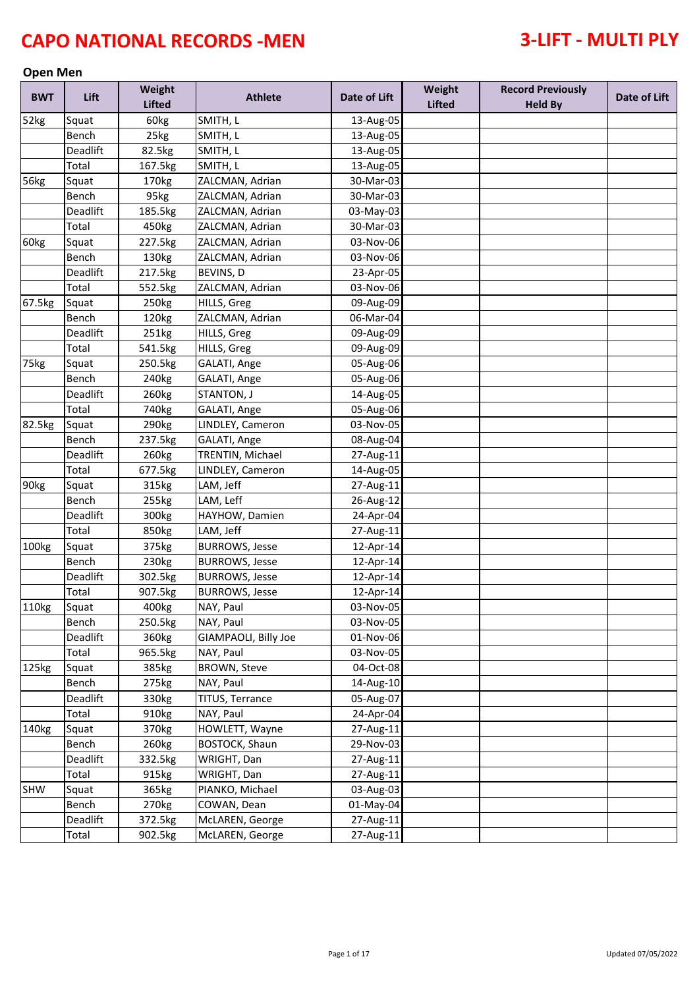### **Open Men**

| <b>BWT</b> | Lift     | Weight<br><b>Lifted</b> | <b>Athlete</b>        | Date of Lift | Weight<br><b>Lifted</b> | <b>Record Previously</b><br><b>Held By</b> | Date of Lift |
|------------|----------|-------------------------|-----------------------|--------------|-------------------------|--------------------------------------------|--------------|
| 52kg       | Squat    | 60kg                    | SMITH, L              | 13-Aug-05    |                         |                                            |              |
|            | Bench    | 25kg                    | SMITH, L              | 13-Aug-05    |                         |                                            |              |
|            | Deadlift | 82.5kg                  | SMITH, L              | 13-Aug-05    |                         |                                            |              |
|            | Total    | 167.5kg                 | SMITH, L              | 13-Aug-05    |                         |                                            |              |
| 56kg       | Squat    | 170kg                   | ZALCMAN, Adrian       | 30-Mar-03    |                         |                                            |              |
|            | Bench    | 95kg                    | ZALCMAN, Adrian       | 30-Mar-03    |                         |                                            |              |
|            | Deadlift | 185.5kg                 | ZALCMAN, Adrian       | 03-May-03    |                         |                                            |              |
|            | Total    | 450kg                   | ZALCMAN, Adrian       | 30-Mar-03    |                         |                                            |              |
| 60kg       | Squat    | 227.5kg                 | ZALCMAN, Adrian       | 03-Nov-06    |                         |                                            |              |
|            | Bench    | 130kg                   | ZALCMAN, Adrian       | 03-Nov-06    |                         |                                            |              |
|            | Deadlift | 217.5kg                 | BEVINS, D             | 23-Apr-05    |                         |                                            |              |
|            | Total    | 552.5kg                 | ZALCMAN, Adrian       | 03-Nov-06    |                         |                                            |              |
| 67.5kg     | Squat    | 250kg                   | HILLS, Greg           | 09-Aug-09    |                         |                                            |              |
|            | Bench    | 120kg                   | ZALCMAN, Adrian       | 06-Mar-04    |                         |                                            |              |
|            | Deadlift | 251kg                   | HILLS, Greg           | 09-Aug-09    |                         |                                            |              |
|            | Total    | 541.5kg                 | HILLS, Greg           | 09-Aug-09    |                         |                                            |              |
| 75kg       | Squat    | 250.5kg                 | GALATI, Ange          | 05-Aug-06    |                         |                                            |              |
|            | Bench    | 240 <sub>kg</sub>       | GALATI, Ange          | 05-Aug-06    |                         |                                            |              |
|            | Deadlift | 260kg                   | STANTON, J            | 14-Aug-05    |                         |                                            |              |
|            | Total    | 740 <sub>kg</sub>       | GALATI, Ange          | 05-Aug-06    |                         |                                            |              |
| 82.5kg     | Squat    | 290kg                   | LINDLEY, Cameron      | 03-Nov-05    |                         |                                            |              |
|            | Bench    | 237.5kg                 | GALATI, Ange          | 08-Aug-04    |                         |                                            |              |
|            | Deadlift | 260kg                   | TRENTIN, Michael      | 27-Aug-11    |                         |                                            |              |
|            | Total    | 677.5kg                 | LINDLEY, Cameron      | 14-Aug-05    |                         |                                            |              |
| 90kg       | Squat    | 315kg                   | LAM, Jeff             | 27-Aug-11    |                         |                                            |              |
|            | Bench    | 255kg                   | LAM, Leff             | 26-Aug-12    |                         |                                            |              |
|            | Deadlift | 300kg                   | HAYHOW, Damien        | 24-Apr-04    |                         |                                            |              |
|            | Total    | 850kg                   | LAM, Jeff             | 27-Aug-11    |                         |                                            |              |
| 100kg      | Squat    | 375kg                   | <b>BURROWS, Jesse</b> | 12-Apr-14    |                         |                                            |              |
|            | Bench    | 230kg                   | <b>BURROWS, Jesse</b> | 12-Apr-14    |                         |                                            |              |
|            | Deadlift | 302.5kg                 | <b>BURROWS, Jesse</b> | 12-Apr-14    |                         |                                            |              |
|            | Total    | 907.5kg                 | <b>BURROWS, Jesse</b> | 12-Apr-14    |                         |                                            |              |
| 110kg      | Squat    | 400kg                   | NAY, Paul             | 03-Nov-05    |                         |                                            |              |
|            | Bench    | 250.5kg                 | NAY, Paul             | 03-Nov-05    |                         |                                            |              |
|            | Deadlift | 360kg                   | GIAMPAOLI, Billy Joe  | 01-Nov-06    |                         |                                            |              |
|            | Total    | 965.5kg                 | NAY, Paul             | 03-Nov-05    |                         |                                            |              |
| 125kg      | Squat    | 385kg                   | BROWN, Steve          | 04-Oct-08    |                         |                                            |              |
|            | Bench    | 275kg                   | NAY, Paul             | 14-Aug-10    |                         |                                            |              |
|            | Deadlift | 330kg                   | TITUS, Terrance       | 05-Aug-07    |                         |                                            |              |
|            | Total    | 910kg                   | NAY, Paul             | 24-Apr-04    |                         |                                            |              |
| 140kg      | Squat    | 370kg                   | HOWLETT, Wayne        | 27-Aug-11    |                         |                                            |              |
|            | Bench    | 260kg                   | BOSTOCK, Shaun        | 29-Nov-03    |                         |                                            |              |
|            | Deadlift | 332.5kg                 | WRIGHT, Dan           | 27-Aug-11    |                         |                                            |              |
|            | Total    | 915kg                   | WRIGHT, Dan           | 27-Aug-11    |                         |                                            |              |
| SHW        | Squat    | 365kg                   | PIANKO, Michael       | 03-Aug-03    |                         |                                            |              |
|            | Bench    | 270 <sub>kg</sub>       | COWAN, Dean           | 01-May-04    |                         |                                            |              |
|            | Deadlift | 372.5kg                 | McLAREN, George       | 27-Aug-11    |                         |                                            |              |
|            | Total    | 902.5kg                 | McLAREN, George       | 27-Aug-11    |                         |                                            |              |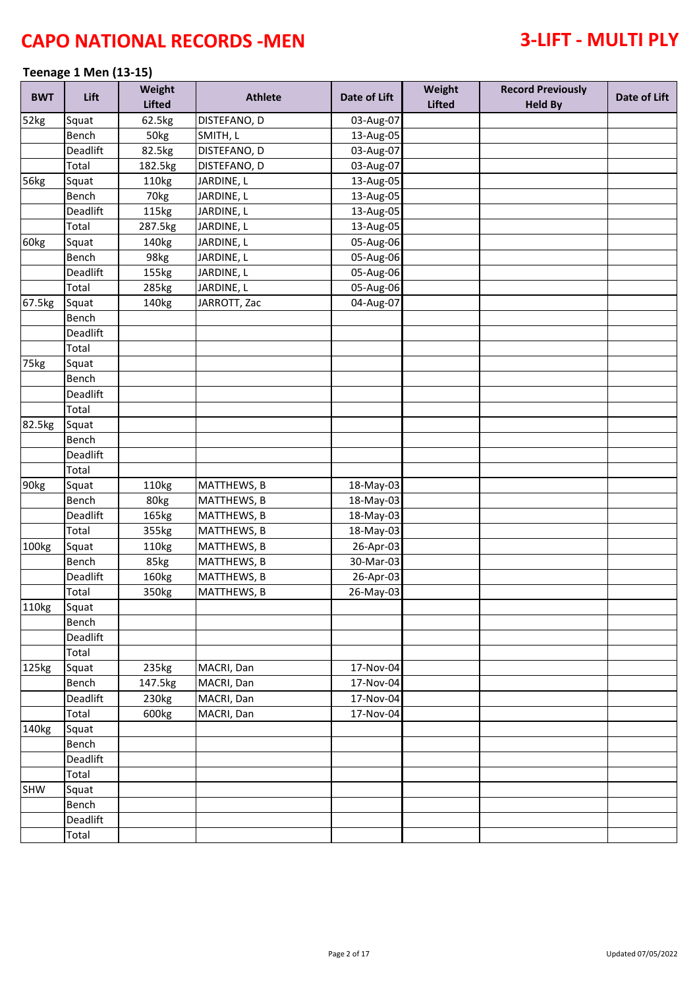### **Teenage 1 Men (13-15)**

| <b>BWT</b> | Lift     | Weight<br><b>Lifted</b> | <b>Athlete</b>     | Date of Lift | Weight<br><b>Lifted</b> | <b>Record Previously</b><br><b>Held By</b> | Date of Lift |
|------------|----------|-------------------------|--------------------|--------------|-------------------------|--------------------------------------------|--------------|
| 52kg       | Squat    | 62.5kg                  | DISTEFANO, D       | 03-Aug-07    |                         |                                            |              |
|            | Bench    | 50kg                    | SMITH, L           | 13-Aug-05    |                         |                                            |              |
|            | Deadlift | 82.5kg                  | DISTEFANO, D       | 03-Aug-07    |                         |                                            |              |
|            | Total    | 182.5kg                 | DISTEFANO, D       | 03-Aug-07    |                         |                                            |              |
| 56kg       | Squat    | 110kg                   | JARDINE, L         | 13-Aug-05    |                         |                                            |              |
|            | Bench    | 70kg                    | JARDINE, L         | 13-Aug-05    |                         |                                            |              |
|            | Deadlift | 115kg                   | JARDINE, L         | 13-Aug-05    |                         |                                            |              |
|            | Total    | 287.5kg                 | JARDINE, L         | 13-Aug-05    |                         |                                            |              |
| 60kg       | Squat    | 140kg                   | JARDINE, L         | 05-Aug-06    |                         |                                            |              |
|            | Bench    | 98kg                    | JARDINE, L         | 05-Aug-06    |                         |                                            |              |
|            | Deadlift | 155kg                   | JARDINE, L         | 05-Aug-06    |                         |                                            |              |
|            | Total    | 285kg                   | JARDINE, L         | 05-Aug-06    |                         |                                            |              |
| 67.5kg     | Squat    | 140kg                   | JARROTT, Zac       | 04-Aug-07    |                         |                                            |              |
|            | Bench    |                         |                    |              |                         |                                            |              |
|            | Deadlift |                         |                    |              |                         |                                            |              |
|            | Total    |                         |                    |              |                         |                                            |              |
| 75kg       | Squat    |                         |                    |              |                         |                                            |              |
|            | Bench    |                         |                    |              |                         |                                            |              |
|            | Deadlift |                         |                    |              |                         |                                            |              |
|            | Total    |                         |                    |              |                         |                                            |              |
| 82.5kg     | Squat    |                         |                    |              |                         |                                            |              |
|            | Bench    |                         |                    |              |                         |                                            |              |
|            | Deadlift |                         |                    |              |                         |                                            |              |
|            | Total    |                         |                    |              |                         |                                            |              |
| 90kg       | Squat    | 110kg                   | MATTHEWS, B        | 18-May-03    |                         |                                            |              |
|            | Bench    | 80kg                    | MATTHEWS, B        | 18-May-03    |                         |                                            |              |
|            | Deadlift | 165kg                   | MATTHEWS, B        | 18-May-03    |                         |                                            |              |
|            | Total    | 355kg                   | <b>MATTHEWS, B</b> | 18-May-03    |                         |                                            |              |
| 100kg      | Squat    | 110kg                   | MATTHEWS, B        | 26-Apr-03    |                         |                                            |              |
|            | Bench    | 85kg                    | MATTHEWS, B        | 30-Mar-03    |                         |                                            |              |
|            | Deadlift | 160kg                   | MATTHEWS, B        | 26-Apr-03    |                         |                                            |              |
|            | Total    | 350kg                   | MATTHEWS, B        | 26-May-03    |                         |                                            |              |
| 110kg      | Squat    |                         |                    |              |                         |                                            |              |
|            | Bench    |                         |                    |              |                         |                                            |              |
|            | Deadlift |                         |                    |              |                         |                                            |              |
|            | Total    |                         |                    |              |                         |                                            |              |
| 125kg      | Squat    | 235kg                   | MACRI, Dan         | 17-Nov-04    |                         |                                            |              |
|            | Bench    | 147.5kg                 | MACRI, Dan         | 17-Nov-04    |                         |                                            |              |
|            | Deadlift | 230kg                   | MACRI, Dan         | 17-Nov-04    |                         |                                            |              |
|            | Total    | 600kg                   | MACRI, Dan         | 17-Nov-04    |                         |                                            |              |
| 140kg      | Squat    |                         |                    |              |                         |                                            |              |
|            | Bench    |                         |                    |              |                         |                                            |              |
|            | Deadlift |                         |                    |              |                         |                                            |              |
|            | Total    |                         |                    |              |                         |                                            |              |
| SHW        | Squat    |                         |                    |              |                         |                                            |              |
|            | Bench    |                         |                    |              |                         |                                            |              |
|            | Deadlift |                         |                    |              |                         |                                            |              |
|            | Total    |                         |                    |              |                         |                                            |              |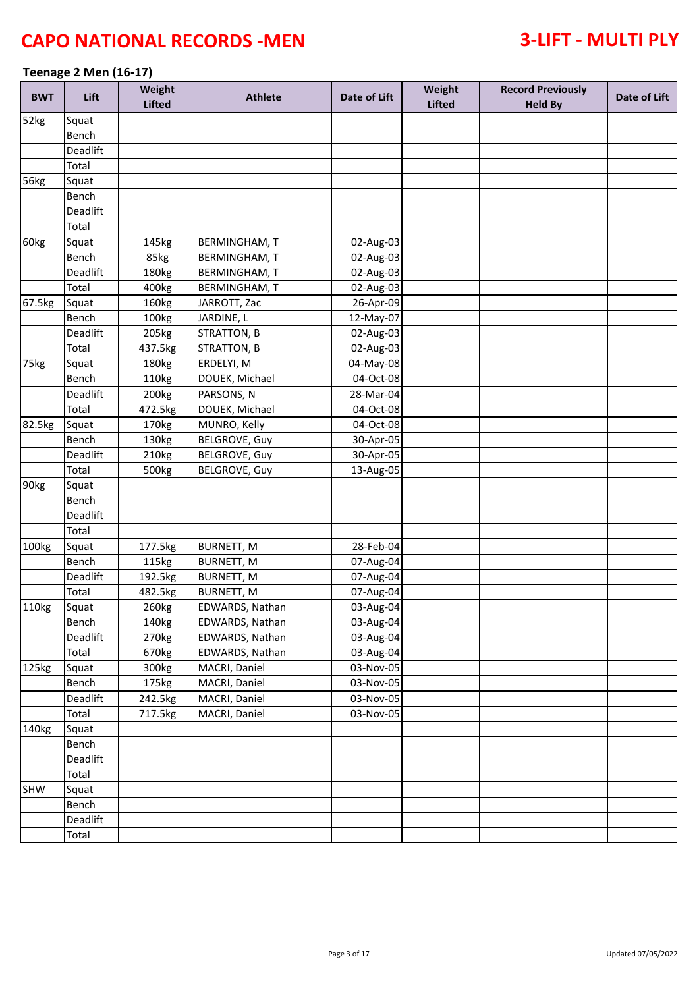### **Teenage 2 Men (16-17)**

| <b>BWT</b>        | Lift     | Weight<br><b>Lifted</b> | <b>Athlete</b>       | Date of Lift | Weight<br><b>Lifted</b> | <b>Record Previously</b><br><b>Held By</b> | Date of Lift |
|-------------------|----------|-------------------------|----------------------|--------------|-------------------------|--------------------------------------------|--------------|
| 52kg              | Squat    |                         |                      |              |                         |                                            |              |
|                   | Bench    |                         |                      |              |                         |                                            |              |
|                   | Deadlift |                         |                      |              |                         |                                            |              |
|                   | Total    |                         |                      |              |                         |                                            |              |
| 56kg              | Squat    |                         |                      |              |                         |                                            |              |
|                   | Bench    |                         |                      |              |                         |                                            |              |
|                   | Deadlift |                         |                      |              |                         |                                            |              |
|                   | Total    |                         |                      |              |                         |                                            |              |
| 60kg              | Squat    | 145kg                   | <b>BERMINGHAM, T</b> | 02-Aug-03    |                         |                                            |              |
|                   | Bench    | 85kg                    | <b>BERMINGHAM, T</b> | 02-Aug-03    |                         |                                            |              |
|                   | Deadlift | 180kg                   | <b>BERMINGHAM, T</b> | 02-Aug-03    |                         |                                            |              |
|                   | Total    | 400kg                   | <b>BERMINGHAM, T</b> | 02-Aug-03    |                         |                                            |              |
| 67.5kg            | Squat    | 160kg                   | JARROTT, Zac         | 26-Apr-09    |                         |                                            |              |
|                   | Bench    | 100kg                   | JARDINE, L           | 12-May-07    |                         |                                            |              |
|                   | Deadlift | 205kg                   | <b>STRATTON, B</b>   | 02-Aug-03    |                         |                                            |              |
|                   | Total    | 437.5kg                 | <b>STRATTON, B</b>   | 02-Aug-03    |                         |                                            |              |
| 75kg              | Squat    | 180kg                   | ERDELYI, M           | 04-May-08    |                         |                                            |              |
|                   | Bench    | 110kg                   | DOUEK, Michael       | 04-Oct-08    |                         |                                            |              |
|                   | Deadlift | 200 <sub>kg</sub>       | PARSONS, N           | 28-Mar-04    |                         |                                            |              |
|                   | Total    | 472.5kg                 | DOUEK, Michael       | 04-Oct-08    |                         |                                            |              |
| 82.5kg            | Squat    | 170 <sub>kg</sub>       | MUNRO, Kelly         | 04-Oct-08    |                         |                                            |              |
|                   | Bench    | 130kg                   | <b>BELGROVE, Guy</b> | 30-Apr-05    |                         |                                            |              |
|                   | Deadlift | 210kg                   | <b>BELGROVE, Guy</b> | 30-Apr-05    |                         |                                            |              |
|                   | Total    | 500kg                   | <b>BELGROVE, Guy</b> | 13-Aug-05    |                         |                                            |              |
| 90kg              | Squat    |                         |                      |              |                         |                                            |              |
|                   | Bench    |                         |                      |              |                         |                                            |              |
|                   | Deadlift |                         |                      |              |                         |                                            |              |
|                   | Total    |                         |                      |              |                         |                                            |              |
| 100kg             | Squat    | 177.5kg                 | <b>BURNETT, M</b>    | 28-Feb-04    |                         |                                            |              |
|                   | Bench    | 115kg                   | <b>BURNETT, M</b>    | 07-Aug-04    |                         |                                            |              |
|                   | Deadlift | 192.5kg                 | <b>BURNETT, M</b>    | 07-Aug-04    |                         |                                            |              |
|                   | Total    | 482.5kg                 | <b>BURNETT, M</b>    | 07-Aug-04    |                         |                                            |              |
| 110kg             | Squat    | 260kg                   | EDWARDS, Nathan      | 03-Aug-04    |                         |                                            |              |
|                   | Bench    | 140kg                   | EDWARDS, Nathan      | 03-Aug-04    |                         |                                            |              |
|                   | Deadlift | 270 <sub>kg</sub>       | EDWARDS, Nathan      | 03-Aug-04    |                         |                                            |              |
|                   | Total    | 670 <sub>kg</sub>       | EDWARDS, Nathan      | 03-Aug-04    |                         |                                            |              |
| 125kg             | Squat    | 300kg                   | MACRI, Daniel        | 03-Nov-05    |                         |                                            |              |
|                   | Bench    | 175kg                   | MACRI, Daniel        | 03-Nov-05    |                         |                                            |              |
|                   | Deadlift | 242.5kg                 | MACRI, Daniel        | 03-Nov-05    |                         |                                            |              |
|                   | Total    | 717.5kg                 | MACRI, Daniel        | 03-Nov-05    |                         |                                            |              |
| 140 <sub>kg</sub> | Squat    |                         |                      |              |                         |                                            |              |
|                   | Bench    |                         |                      |              |                         |                                            |              |
|                   | Deadlift |                         |                      |              |                         |                                            |              |
|                   | Total    |                         |                      |              |                         |                                            |              |
| SHW               | Squat    |                         |                      |              |                         |                                            |              |
|                   | Bench    |                         |                      |              |                         |                                            |              |
|                   | Deadlift |                         |                      |              |                         |                                            |              |
|                   | Total    |                         |                      |              |                         |                                            |              |
|                   |          |                         |                      |              |                         |                                            |              |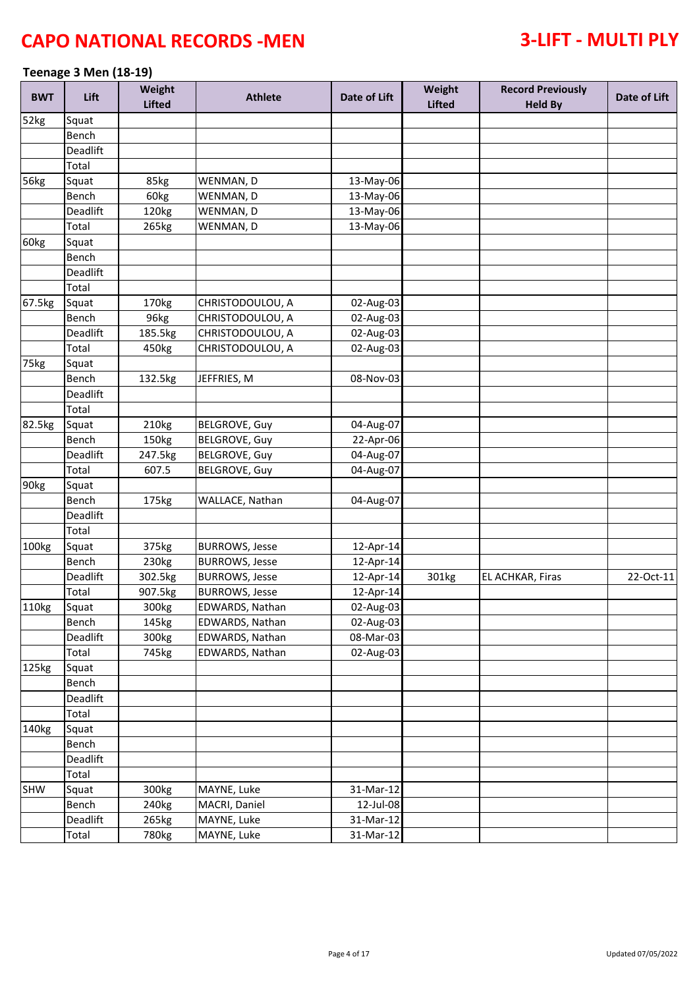### **Teenage 3 Men (18-19)**

| <b>BWT</b> | Lift     | Weight<br><b>Lifted</b> | <b>Athlete</b>        | Date of Lift | Weight<br><b>Lifted</b> | <b>Record Previously</b><br><b>Held By</b> | Date of Lift |
|------------|----------|-------------------------|-----------------------|--------------|-------------------------|--------------------------------------------|--------------|
| 52kg       | Squat    |                         |                       |              |                         |                                            |              |
|            | Bench    |                         |                       |              |                         |                                            |              |
|            | Deadlift |                         |                       |              |                         |                                            |              |
|            | Total    |                         |                       |              |                         |                                            |              |
| 56kg       | Squat    | 85kg                    | WENMAN, D             | 13-May-06    |                         |                                            |              |
|            | Bench    | 60kg                    | WENMAN, D             | 13-May-06    |                         |                                            |              |
|            | Deadlift | 120kg                   | WENMAN, D             | 13-May-06    |                         |                                            |              |
|            | Total    | 265kg                   | WENMAN, D             | 13-May-06    |                         |                                            |              |
| 60kg       | Squat    |                         |                       |              |                         |                                            |              |
|            | Bench    |                         |                       |              |                         |                                            |              |
|            | Deadlift |                         |                       |              |                         |                                            |              |
|            | Total    |                         |                       |              |                         |                                            |              |
| 67.5kg     | Squat    | 170kg                   | CHRISTODOULOU, A      | 02-Aug-03    |                         |                                            |              |
|            | Bench    | 96kg                    | CHRISTODOULOU, A      | 02-Aug-03    |                         |                                            |              |
|            | Deadlift | 185.5kg                 | CHRISTODOULOU, A      | 02-Aug-03    |                         |                                            |              |
|            | Total    | 450kg                   | CHRISTODOULOU, A      | 02-Aug-03    |                         |                                            |              |
| 75kg       | Squat    |                         |                       |              |                         |                                            |              |
|            | Bench    | 132.5kg                 | JEFFRIES, M           | 08-Nov-03    |                         |                                            |              |
|            | Deadlift |                         |                       |              |                         |                                            |              |
|            | Total    |                         |                       |              |                         |                                            |              |
| 82.5kg     | Squat    | 210kg                   | <b>BELGROVE, Guy</b>  | 04-Aug-07    |                         |                                            |              |
|            | Bench    | 150kg                   | <b>BELGROVE, Guy</b>  | 22-Apr-06    |                         |                                            |              |
|            | Deadlift | 247.5kg                 | <b>BELGROVE, Guy</b>  | 04-Aug-07    |                         |                                            |              |
|            | Total    | 607.5                   | <b>BELGROVE, Guy</b>  | 04-Aug-07    |                         |                                            |              |
| 90kg       | Squat    |                         |                       |              |                         |                                            |              |
|            | Bench    |                         | WALLACE, Nathan       |              |                         |                                            |              |
|            |          | 175kg                   |                       | 04-Aug-07    |                         |                                            |              |
|            | Deadlift |                         |                       |              |                         |                                            |              |
|            | Total    |                         |                       |              |                         |                                            |              |
| 100kg      | Squat    | 375kg                   | <b>BURROWS, Jesse</b> | 12-Apr-14    |                         |                                            |              |
|            | Bench    | 230kg                   | <b>BURROWS, Jesse</b> | 12-Apr-14    |                         |                                            |              |
|            | Deadlift | 302.5kg                 | <b>BURROWS, Jesse</b> | 12-Apr-14    | 301kg                   | EL ACHKAR, Firas                           | 22-Oct-11    |
|            | Total    | 907.5kg                 | <b>BURROWS, Jesse</b> | 12-Apr-14    |                         |                                            |              |
| 110kg      | Squat    | 300kg                   | EDWARDS, Nathan       | $02-Aug-03$  |                         |                                            |              |
|            | Bench    | 145kg                   | EDWARDS, Nathan       | 02-Aug-03    |                         |                                            |              |
|            | Deadlift | 300kg                   | EDWARDS, Nathan       | 08-Mar-03    |                         |                                            |              |
|            | Total    | 745kg                   | EDWARDS, Nathan       | 02-Aug-03    |                         |                                            |              |
| 125kg      | Squat    |                         |                       |              |                         |                                            |              |
|            | Bench    |                         |                       |              |                         |                                            |              |
|            | Deadlift |                         |                       |              |                         |                                            |              |
|            | Total    |                         |                       |              |                         |                                            |              |
| 140kg      | Squat    |                         |                       |              |                         |                                            |              |
|            | Bench    |                         |                       |              |                         |                                            |              |
|            | Deadlift |                         |                       |              |                         |                                            |              |
|            | Total    |                         |                       |              |                         |                                            |              |
| SHW        | Squat    | 300kg                   | MAYNE, Luke           | 31-Mar-12    |                         |                                            |              |
|            | Bench    | 240 <sub>kg</sub>       | MACRI, Daniel         | 12-Jul-08    |                         |                                            |              |
|            | Deadlift | 265kg                   | MAYNE, Luke           | 31-Mar-12    |                         |                                            |              |
|            | Total    | 780kg                   | MAYNE, Luke           | 31-Mar-12    |                         |                                            |              |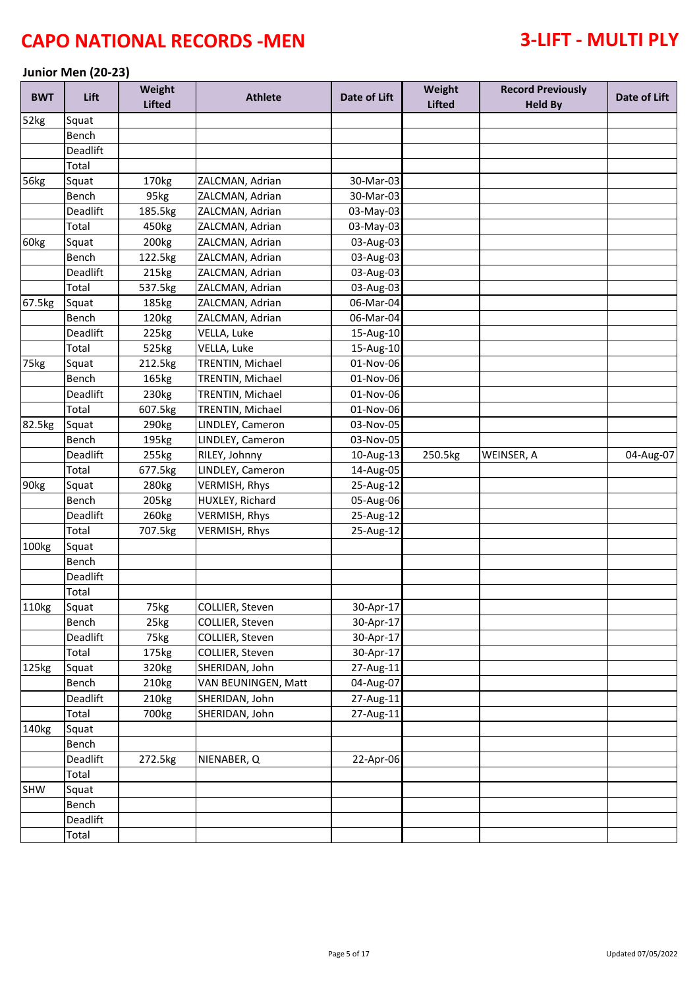### **Junior Men (20-23)**

| <b>BWT</b>  | Lift     | Weight<br><b>Lifted</b> | <b>Athlete</b>       | Date of Lift | Weight<br><b>Lifted</b> | <b>Record Previously</b><br><b>Held By</b> | Date of Lift |
|-------------|----------|-------------------------|----------------------|--------------|-------------------------|--------------------------------------------|--------------|
| 52kg        | Squat    |                         |                      |              |                         |                                            |              |
|             | Bench    |                         |                      |              |                         |                                            |              |
|             | Deadlift |                         |                      |              |                         |                                            |              |
|             | Total    |                         |                      |              |                         |                                            |              |
| <b>56kg</b> | Squat    | 170 <sub>kg</sub>       | ZALCMAN, Adrian      | 30-Mar-03    |                         |                                            |              |
|             | Bench    | 95kg                    | ZALCMAN, Adrian      | 30-Mar-03    |                         |                                            |              |
|             | Deadlift | 185.5kg                 | ZALCMAN, Adrian      | 03-May-03    |                         |                                            |              |
|             | Total    | 450kg                   | ZALCMAN, Adrian      | 03-May-03    |                         |                                            |              |
| 60kg        | Squat    | 200 <sub>kg</sub>       | ZALCMAN, Adrian      | 03-Aug-03    |                         |                                            |              |
|             | Bench    | 122.5kg                 | ZALCMAN, Adrian      | 03-Aug-03    |                         |                                            |              |
|             | Deadlift | 215kg                   | ZALCMAN, Adrian      | 03-Aug-03    |                         |                                            |              |
|             | Total    | 537.5kg                 | ZALCMAN, Adrian      | 03-Aug-03    |                         |                                            |              |
| 67.5kg      | Squat    | 185kg                   | ZALCMAN, Adrian      | 06-Mar-04    |                         |                                            |              |
|             | Bench    | 120kg                   | ZALCMAN, Adrian      | 06-Mar-04    |                         |                                            |              |
|             | Deadlift | 225kg                   | VELLA, Luke          | 15-Aug-10    |                         |                                            |              |
|             | Total    | 525kg                   | VELLA, Luke          | 15-Aug-10    |                         |                                            |              |
| 75kg        | Squat    | 212.5kg                 | TRENTIN, Michael     | 01-Nov-06    |                         |                                            |              |
|             | Bench    | 165kg                   | TRENTIN, Michael     | 01-Nov-06    |                         |                                            |              |
|             | Deadlift | 230kg                   | TRENTIN, Michael     | 01-Nov-06    |                         |                                            |              |
|             | Total    | 607.5kg                 | TRENTIN, Michael     | 01-Nov-06    |                         |                                            |              |
| 82.5kg      | Squat    | 290 <sub>kg</sub>       | LINDLEY, Cameron     | 03-Nov-05    |                         |                                            |              |
|             | Bench    | 195kg                   | LINDLEY, Cameron     | 03-Nov-05    |                         |                                            |              |
|             | Deadlift | 255kg                   | RILEY, Johnny        | 10-Aug-13    | 250.5kg                 | WEINSER, A                                 | 04-Aug-07    |
|             | Total    | 677.5kg                 | LINDLEY, Cameron     | 14-Aug-05    |                         |                                            |              |
| 90kg        | Squat    | 280kg                   | VERMISH, Rhys        | 25-Aug-12    |                         |                                            |              |
|             | Bench    | 205kg                   | HUXLEY, Richard      | 05-Aug-06    |                         |                                            |              |
|             | Deadlift | 260kg                   | <b>VERMISH, Rhys</b> | 25-Aug-12    |                         |                                            |              |
|             | Total    | 707.5kg                 | VERMISH, Rhys        | 25-Aug-12    |                         |                                            |              |
| 100kg       | Squat    |                         |                      |              |                         |                                            |              |
|             | Bench    |                         |                      |              |                         |                                            |              |
|             | Deadlift |                         |                      |              |                         |                                            |              |
|             | Total    |                         |                      |              |                         |                                            |              |
| 110kg       | Squat    | 75kg                    | COLLIER, Steven      | 30-Apr-17    |                         |                                            |              |
|             | Bench    | 25kg                    | COLLIER, Steven      | 30-Apr-17    |                         |                                            |              |
|             | Deadlift | 75kg                    | COLLIER, Steven      | 30-Apr-17    |                         |                                            |              |
|             | Total    | 175kg                   | COLLIER, Steven      | 30-Apr-17    |                         |                                            |              |
| 125kg       | Squat    | 320kg                   | SHERIDAN, John       | 27-Aug-11    |                         |                                            |              |
|             | Bench    | 210kg                   | VAN BEUNINGEN, Matt  | 04-Aug-07    |                         |                                            |              |
|             | Deadlift | 210kg                   | SHERIDAN, John       | 27-Aug-11    |                         |                                            |              |
|             | Total    | 700kg                   | SHERIDAN, John       | 27-Aug-11    |                         |                                            |              |
| 140kg       | Squat    |                         |                      |              |                         |                                            |              |
|             | Bench    |                         |                      |              |                         |                                            |              |
|             | Deadlift | 272.5kg                 | NIENABER, Q          | 22-Apr-06    |                         |                                            |              |
|             | Total    |                         |                      |              |                         |                                            |              |
| SHW         | Squat    |                         |                      |              |                         |                                            |              |
|             | Bench    |                         |                      |              |                         |                                            |              |
|             | Deadlift |                         |                      |              |                         |                                            |              |
|             | Total    |                         |                      |              |                         |                                            |              |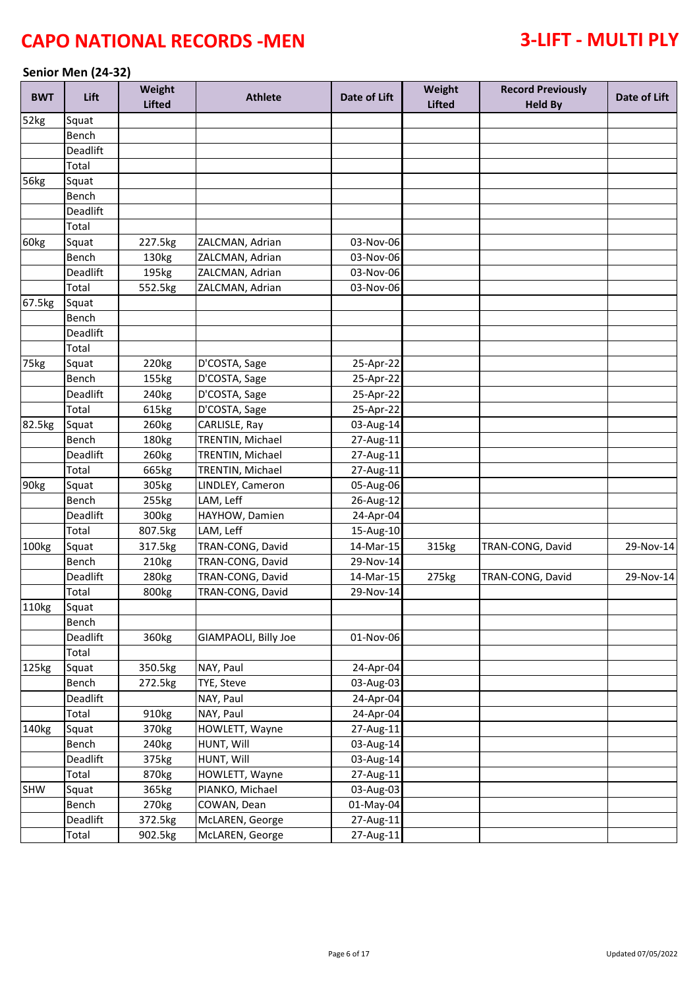### **Senior Men (24-32)**

| <b>BWT</b>  | Lift     | Weight<br><b>Lifted</b> | <b>Athlete</b>       | Date of Lift | Weight<br><b>Lifted</b> | <b>Record Previously</b><br><b>Held By</b> | Date of Lift |
|-------------|----------|-------------------------|----------------------|--------------|-------------------------|--------------------------------------------|--------------|
| 52kg        | Squat    |                         |                      |              |                         |                                            |              |
|             | Bench    |                         |                      |              |                         |                                            |              |
|             | Deadlift |                         |                      |              |                         |                                            |              |
|             | Total    |                         |                      |              |                         |                                            |              |
| <b>56kg</b> | Squat    |                         |                      |              |                         |                                            |              |
|             | Bench    |                         |                      |              |                         |                                            |              |
|             | Deadlift |                         |                      |              |                         |                                            |              |
|             | Total    |                         |                      |              |                         |                                            |              |
| 60kg        | Squat    | 227.5kg                 | ZALCMAN, Adrian      | 03-Nov-06    |                         |                                            |              |
|             | Bench    | 130kg                   | ZALCMAN, Adrian      | 03-Nov-06    |                         |                                            |              |
|             | Deadlift | 195kg                   | ZALCMAN, Adrian      | 03-Nov-06    |                         |                                            |              |
|             | Total    | 552.5kg                 | ZALCMAN, Adrian      | 03-Nov-06    |                         |                                            |              |
| 67.5kg      | Squat    |                         |                      |              |                         |                                            |              |
|             | Bench    |                         |                      |              |                         |                                            |              |
|             | Deadlift |                         |                      |              |                         |                                            |              |
|             | Total    |                         |                      |              |                         |                                            |              |
| 75kg        | Squat    | 220 <sub>kg</sub>       | D'COSTA, Sage        | 25-Apr-22    |                         |                                            |              |
|             | Bench    | 155kg                   | D'COSTA, Sage        | 25-Apr-22    |                         |                                            |              |
|             | Deadlift | 240 <sub>kg</sub>       | D'COSTA, Sage        | 25-Apr-22    |                         |                                            |              |
|             | Total    | 615kg                   | D'COSTA, Sage        | 25-Apr-22    |                         |                                            |              |
| 82.5kg      | Squat    | 260 <sub>kg</sub>       | CARLISLE, Ray        | 03-Aug-14    |                         |                                            |              |
|             | Bench    | 180kg                   | TRENTIN, Michael     | 27-Aug-11    |                         |                                            |              |
|             | Deadlift | 260kg                   | TRENTIN, Michael     | 27-Aug-11    |                         |                                            |              |
|             | Total    | 665kg                   | TRENTIN, Michael     | 27-Aug-11    |                         |                                            |              |
| 90kg        | Squat    | 305kg                   | LINDLEY, Cameron     | 05-Aug-06    |                         |                                            |              |
|             | Bench    | 255kg                   | LAM, Leff            | 26-Aug-12    |                         |                                            |              |
|             | Deadlift | 300kg                   | HAYHOW, Damien       | 24-Apr-04    |                         |                                            |              |
|             | Total    | 807.5kg                 | LAM, Leff            | 15-Aug-10    |                         |                                            |              |
| 100kg       | Squat    | 317.5kg                 | TRAN-CONG, David     | 14-Mar-15    | 315kg                   | TRAN-CONG, David                           | 29-Nov-14    |
|             | Bench    | 210kg                   | TRAN-CONG, David     | 29-Nov-14    |                         |                                            |              |
|             | Deadlift | 280kg                   | TRAN-CONG, David     | 14-Mar-15    | 275kg                   | TRAN-CONG, David                           | 29-Nov-14    |
|             | Total    | 800kg                   | TRAN-CONG, David     | 29-Nov-14    |                         |                                            |              |
| 110kg       | Squat    |                         |                      |              |                         |                                            |              |
|             | Bench    |                         |                      |              |                         |                                            |              |
|             | Deadlift | 360kg                   | GIAMPAOLI, Billy Joe | 01-Nov-06    |                         |                                            |              |
|             | Total    |                         |                      |              |                         |                                            |              |
| 125kg       | Squat    | 350.5kg                 | NAY, Paul            | 24-Apr-04    |                         |                                            |              |
|             | Bench    | 272.5kg                 | TYE, Steve           | 03-Aug-03    |                         |                                            |              |
|             | Deadlift |                         | NAY, Paul            | 24-Apr-04    |                         |                                            |              |
|             | Total    | 910kg                   | NAY, Paul            | 24-Apr-04    |                         |                                            |              |
| 140kg       | Squat    | 370 <sub>kg</sub>       | HOWLETT, Wayne       | 27-Aug-11    |                         |                                            |              |
|             | Bench    | 240 <sub>kg</sub>       | HUNT, Will           | 03-Aug-14    |                         |                                            |              |
|             | Deadlift | 375kg                   | HUNT, Will           | 03-Aug-14    |                         |                                            |              |
|             | Total    | 870kg                   | HOWLETT, Wayne       | 27-Aug-11    |                         |                                            |              |
| SHW         | Squat    | 365kg                   | PIANKO, Michael      | 03-Aug-03    |                         |                                            |              |
|             | Bench    | 270 <sub>kg</sub>       | COWAN, Dean          | 01-May-04    |                         |                                            |              |
|             | Deadlift | 372.5kg                 | McLAREN, George      | 27-Aug-11    |                         |                                            |              |
|             | Total    | 902.5kg                 | McLAREN, George      | 27-Aug-11    |                         |                                            |              |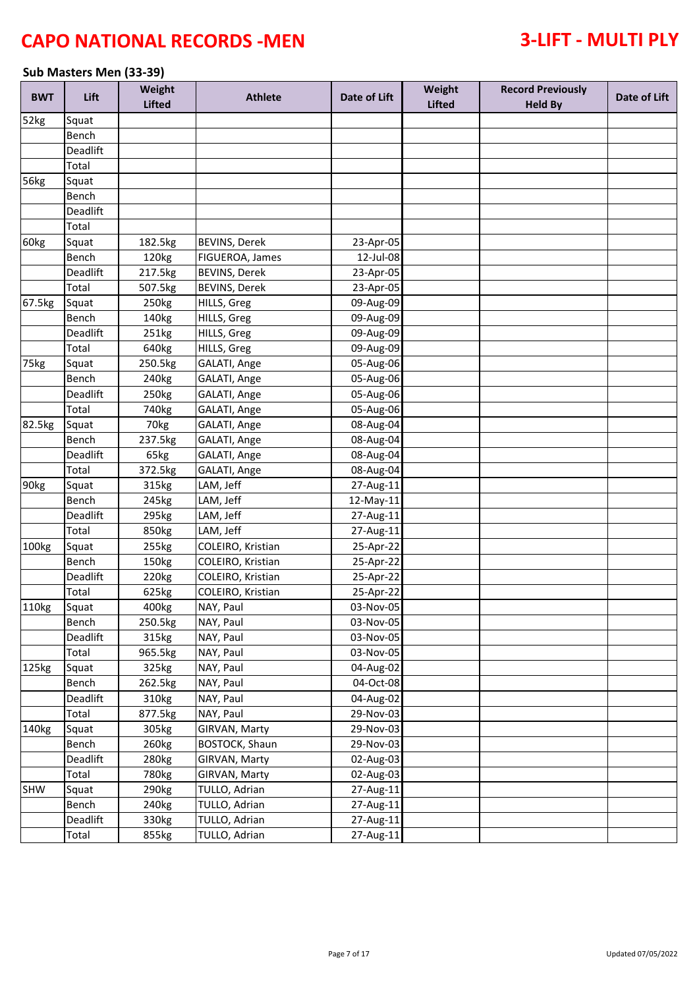### **Sub Masters Men (33-39)**

| <b>BWT</b> | Lift              | Weight<br><b>Lifted</b> | <b>Athlete</b>         | Date of Lift | Weight<br><b>Lifted</b> | <b>Record Previously</b><br><b>Held By</b> | Date of Lift |
|------------|-------------------|-------------------------|------------------------|--------------|-------------------------|--------------------------------------------|--------------|
| 52kg       | Squat             |                         |                        |              |                         |                                            |              |
|            | Bench             |                         |                        |              |                         |                                            |              |
|            | Deadlift          |                         |                        |              |                         |                                            |              |
|            | Total             |                         |                        |              |                         |                                            |              |
| 56kg       | Squat             |                         |                        |              |                         |                                            |              |
|            | Bench             |                         |                        |              |                         |                                            |              |
|            | Deadlift          |                         |                        |              |                         |                                            |              |
|            | Total             |                         |                        |              |                         |                                            |              |
| 60kg       | Squat             | 182.5kg                 | <b>BEVINS, Derek</b>   | 23-Apr-05    |                         |                                            |              |
|            | Bench             | 120kg                   | FIGUEROA, James        | 12-Jul-08    |                         |                                            |              |
|            | Deadlift          | 217.5kg                 | <b>BEVINS, Derek</b>   | 23-Apr-05    |                         |                                            |              |
|            | Total             | 507.5kg                 | <b>BEVINS, Derek</b>   | 23-Apr-05    |                         |                                            |              |
| 67.5kg     | Squat             | 250 <sub>kg</sub>       | HILLS, Greg            | 09-Aug-09    |                         |                                            |              |
|            | Bench             | 140kg                   | HILLS, Greg            | 09-Aug-09    |                         |                                            |              |
|            | Deadlift          | 251kg                   | HILLS, Greg            | 09-Aug-09    |                         |                                            |              |
|            | Total             | 640kg                   | HILLS, Greg            | 09-Aug-09    |                         |                                            |              |
| 75kg       | Squat             | 250.5kg                 | GALATI, Ange           | 05-Aug-06    |                         |                                            |              |
|            | Bench             | 240 <sub>kg</sub>       | GALATI, Ange           | 05-Aug-06    |                         |                                            |              |
|            | Deadlift          | 250 <sub>kg</sub>       | GALATI, Ange           | 05-Aug-06    |                         |                                            |              |
|            | Total             | 740 <sub>kg</sub>       | GALATI, Ange           | 05-Aug-06    |                         |                                            |              |
| 82.5kg     | Squat             | 70kg                    | GALATI, Ange           | 08-Aug-04    |                         |                                            |              |
|            | Bench             | 237.5kg                 | GALATI, Ange           | 08-Aug-04    |                         |                                            |              |
|            | Deadlift          | 65kg                    | GALATI, Ange           | 08-Aug-04    |                         |                                            |              |
|            | Total             | 372.5kg                 | GALATI, Ange           | 08-Aug-04    |                         |                                            |              |
| 90kg       | Squat             | 315kg                   | LAM, Jeff              | 27-Aug-11    |                         |                                            |              |
|            | Bench             | 245kg                   | LAM, Jeff              | 12-May-11    |                         |                                            |              |
|            | Deadlift          | 295kg                   | LAM, Jeff              | 27-Aug-11    |                         |                                            |              |
|            | Total             | 850kg                   | LAM, Jeff              | 27-Aug-11    |                         |                                            |              |
| 100kg      | Squat             | 255kg                   | COLEIRO, Kristian      | 25-Apr-22    |                         |                                            |              |
|            | Bench             | 150kg                   | COLEIRO, Kristian      | 25-Apr-22    |                         |                                            |              |
|            | Deadlift          | 220 <sub>kg</sub>       | COLEIRO, Kristian      | 25-Apr-22    |                         |                                            |              |
|            | Total             | 625kg                   | COLEIRO, Kristian      | 25-Apr-22    |                         |                                            |              |
| 110kg      |                   |                         | NAY, Paul              | 03-Nov-05    |                         |                                            |              |
|            | Squat             | 400kg                   |                        | 03-Nov-05    |                         |                                            |              |
|            | Bench<br>Deadlift | 250.5kg                 | NAY, Paul<br>NAY, Paul | 03-Nov-05    |                         |                                            |              |
|            | Total             | 315kg                   | NAY, Paul              | 03-Nov-05    |                         |                                            |              |
| 125kg      |                   | 965.5kg                 |                        |              |                         |                                            |              |
|            | Squat             | 325kg                   | NAY, Paul              | 04-Aug-02    |                         |                                            |              |
|            | Bench             | 262.5kg                 | NAY, Paul              | 04-Oct-08    |                         |                                            |              |
|            | Deadlift          | 310kg                   | NAY, Paul              | 04-Aug-02    |                         |                                            |              |
|            | Total             | 877.5kg                 | NAY, Paul              | 29-Nov-03    |                         |                                            |              |
| 140kg      | Squat             | 305kg                   | GIRVAN, Marty          | 29-Nov-03    |                         |                                            |              |
|            | Bench             | 260kg                   | <b>BOSTOCK, Shaun</b>  | 29-Nov-03    |                         |                                            |              |
|            | Deadlift          | 280kg                   | GIRVAN, Marty          | 02-Aug-03    |                         |                                            |              |
|            | Total             | 780kg                   | GIRVAN, Marty          | 02-Aug-03    |                         |                                            |              |
| <b>SHW</b> | Squat             | 290kg                   | TULLO, Adrian          | 27-Aug-11    |                         |                                            |              |
|            | Bench             | 240 <sub>kg</sub>       | TULLO, Adrian          | 27-Aug-11    |                         |                                            |              |
|            | Deadlift          | 330kg                   | TULLO, Adrian          | 27-Aug-11    |                         |                                            |              |
|            | Total             | 855kg                   | TULLO, Adrian          | 27-Aug-11    |                         |                                            |              |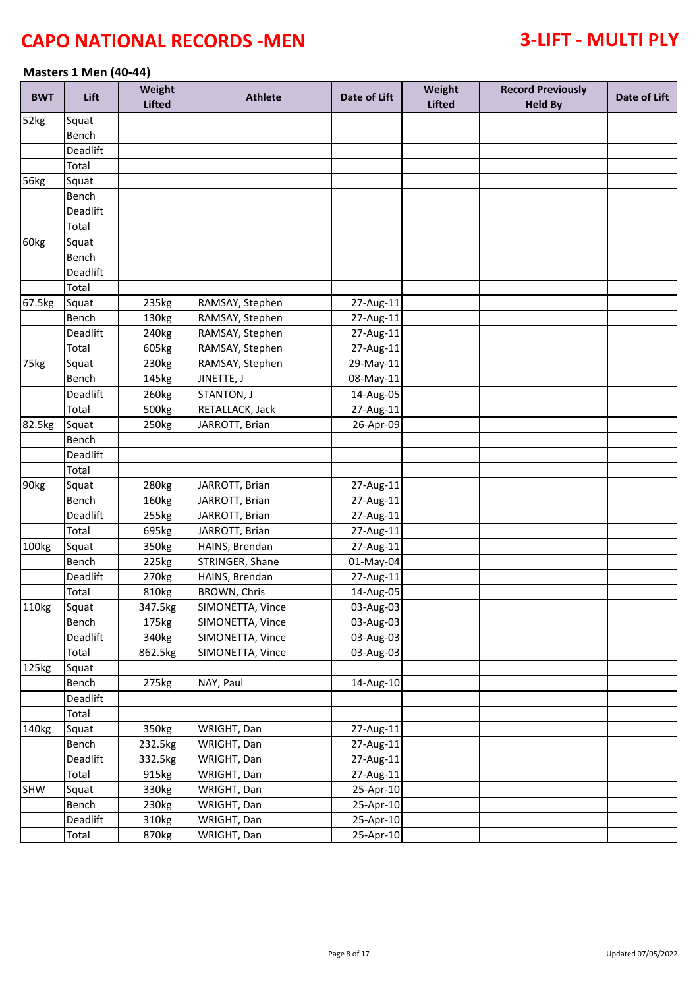### **Masters 1 Men (40-44)**

| <b>BWT</b> | Lift     | Weight<br><b>Lifted</b> | <b>Athlete</b>   | Date of Lift | Weight<br><b>Lifted</b> | <b>Record Previously</b><br><b>Held By</b> | Date of Lift |
|------------|----------|-------------------------|------------------|--------------|-------------------------|--------------------------------------------|--------------|
| 52kg       | Squat    |                         |                  |              |                         |                                            |              |
|            | Bench    |                         |                  |              |                         |                                            |              |
|            | Deadlift |                         |                  |              |                         |                                            |              |
|            | Total    |                         |                  |              |                         |                                            |              |
| 56kg       | Squat    |                         |                  |              |                         |                                            |              |
|            | Bench    |                         |                  |              |                         |                                            |              |
|            | Deadlift |                         |                  |              |                         |                                            |              |
|            | Total    |                         |                  |              |                         |                                            |              |
| 60kg       | Squat    |                         |                  |              |                         |                                            |              |
|            | Bench    |                         |                  |              |                         |                                            |              |
|            | Deadlift |                         |                  |              |                         |                                            |              |
|            | Total    |                         |                  |              |                         |                                            |              |
| 67.5kg     | Squat    | 235kg                   | RAMSAY, Stephen  | 27-Aug-11    |                         |                                            |              |
|            | Bench    | 130kg                   | RAMSAY, Stephen  | 27-Aug-11    |                         |                                            |              |
|            | Deadlift | 240kg                   | RAMSAY, Stephen  | 27-Aug-11    |                         |                                            |              |
|            | Total    | 605kg                   | RAMSAY, Stephen  | 27-Aug-11    |                         |                                            |              |
| 75kg       | Squat    | 230kg                   | RAMSAY, Stephen  | 29-May-11    |                         |                                            |              |
|            | Bench    | 145kg                   | JINETTE, J       | 08-May-11    |                         |                                            |              |
|            | Deadlift | 260kg                   | STANTON, J       | 14-Aug-05    |                         |                                            |              |
|            | Total    | 500kg                   | RETALLACK, Jack  | 27-Aug-11    |                         |                                            |              |
| 82.5kg     | Squat    | 250kg                   | JARROTT, Brian   | $26$ -Apr-09 |                         |                                            |              |
|            | Bench    |                         |                  |              |                         |                                            |              |
|            | Deadlift |                         |                  |              |                         |                                            |              |
|            | Total    |                         |                  |              |                         |                                            |              |
| 90kg       | Squat    | 280kg                   | JARROTT, Brian   | 27-Aug-11    |                         |                                            |              |
|            | Bench    | 160kg                   | JARROTT, Brian   | 27-Aug-11    |                         |                                            |              |
|            | Deadlift | 255kg                   | JARROTT, Brian   | 27-Aug-11    |                         |                                            |              |
|            | Total    | 695kg                   | JARROTT, Brian   | 27-Aug-11    |                         |                                            |              |
| 100kg      | Squat    | 350kg                   | HAINS, Brendan   | 27-Aug-11    |                         |                                            |              |
|            | Bench    | 225kg                   | STRINGER, Shane  | 01-May-04    |                         |                                            |              |
|            | Deadlift | 270 <sub>kg</sub>       | HAINS, Brendan   | 27-Aug-11    |                         |                                            |              |
|            | Total    | 810kg                   | BROWN, Chris     | 14-Aug-05    |                         |                                            |              |
| 110kg      | Squat    | 347.5kg                 | SIMONETTA, Vince | 03-Aug-03    |                         |                                            |              |
|            | Bench    | 175kg                   | SIMONETTA, Vince | 03-Aug-03    |                         |                                            |              |
|            | Deadlift | 340kg                   | SIMONETTA, Vince | 03-Aug-03    |                         |                                            |              |
|            | Total    | 862.5kg                 | SIMONETTA, Vince | 03-Aug-03    |                         |                                            |              |
| 125kg      | Squat    |                         |                  |              |                         |                                            |              |
|            | Bench    | 275kg                   | NAY, Paul        | 14-Aug-10    |                         |                                            |              |
|            | Deadlift |                         |                  |              |                         |                                            |              |
|            | Total    |                         |                  |              |                         |                                            |              |
| 140kg      | Squat    | 350kg                   | WRIGHT, Dan      | 27-Aug-11    |                         |                                            |              |
|            | Bench    | 232.5kg                 | WRIGHT, Dan      | 27-Aug-11    |                         |                                            |              |
|            | Deadlift | 332.5kg                 | WRIGHT, Dan      | 27-Aug-11    |                         |                                            |              |
|            | Total    | 915kg                   | WRIGHT, Dan      | 27-Aug-11    |                         |                                            |              |
| SHW        | Squat    | 330kg                   | WRIGHT, Dan      | 25-Apr-10    |                         |                                            |              |
|            | Bench    | 230kg                   | WRIGHT, Dan      | 25-Apr-10    |                         |                                            |              |
|            | Deadlift | 310kg                   | WRIGHT, Dan      | 25-Apr-10    |                         |                                            |              |
|            | Total    | 870kg                   | WRIGHT, Dan      | 25-Apr-10    |                         |                                            |              |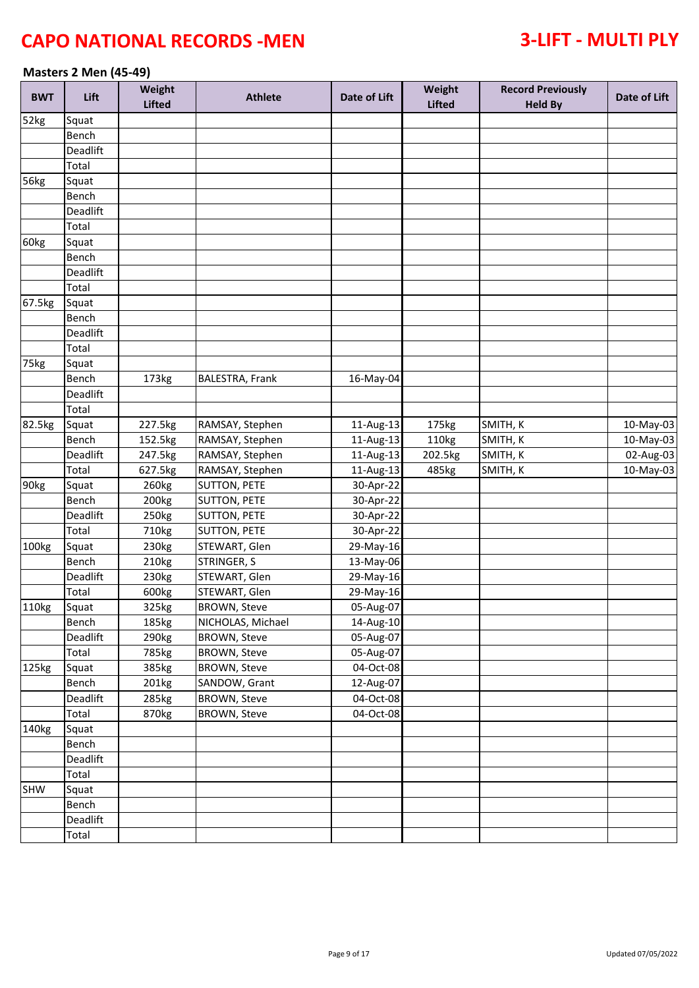### **Masters 2 Men (45-49)**

| <b>BWT</b>        | Lift     | Weight<br><b>Lifted</b> | <b>Athlete</b>      | Date of Lift | Weight<br><b>Lifted</b> | <b>Record Previously</b><br><b>Held By</b> | Date of Lift |
|-------------------|----------|-------------------------|---------------------|--------------|-------------------------|--------------------------------------------|--------------|
| 52kg              | Squat    |                         |                     |              |                         |                                            |              |
|                   | Bench    |                         |                     |              |                         |                                            |              |
|                   | Deadlift |                         |                     |              |                         |                                            |              |
|                   | Total    |                         |                     |              |                         |                                            |              |
| <b>56kg</b>       | Squat    |                         |                     |              |                         |                                            |              |
|                   | Bench    |                         |                     |              |                         |                                            |              |
|                   | Deadlift |                         |                     |              |                         |                                            |              |
|                   | Total    |                         |                     |              |                         |                                            |              |
| 60kg              | Squat    |                         |                     |              |                         |                                            |              |
|                   | Bench    |                         |                     |              |                         |                                            |              |
|                   | Deadlift |                         |                     |              |                         |                                            |              |
|                   | Total    |                         |                     |              |                         |                                            |              |
| 67.5kg            | Squat    |                         |                     |              |                         |                                            |              |
|                   | Bench    |                         |                     |              |                         |                                            |              |
|                   | Deadlift |                         |                     |              |                         |                                            |              |
|                   | Total    |                         |                     |              |                         |                                            |              |
| 75kg              | Squat    |                         |                     |              |                         |                                            |              |
|                   | Bench    | 173kg                   | BALESTRA, Frank     | 16-May-04    |                         |                                            |              |
|                   | Deadlift |                         |                     |              |                         |                                            |              |
|                   | Total    |                         |                     |              |                         |                                            |              |
| 82.5kg            | Squat    | 227.5kg                 | RAMSAY, Stephen     | 11-Aug-13    | 175kg                   | SMITH, K                                   | 10-May-03    |
|                   | Bench    | 152.5kg                 | RAMSAY, Stephen     | 11-Aug-13    | 110kg                   | SMITH, K                                   | 10-May-03    |
|                   | Deadlift | 247.5kg                 | RAMSAY, Stephen     | 11-Aug-13    | 202.5kg                 | SMITH, K                                   | 02-Aug-03    |
|                   | Total    | 627.5kg                 | RAMSAY, Stephen     | 11-Aug-13    | 485kg                   | SMITH, K                                   | 10-May-03    |
| 90kg              | Squat    | 260kg                   | <b>SUTTON, PETE</b> | 30-Apr-22    |                         |                                            |              |
|                   | Bench    | 200kg                   | <b>SUTTON, PETE</b> | 30-Apr-22    |                         |                                            |              |
|                   | Deadlift | 250kg                   | <b>SUTTON, PETE</b> | 30-Apr-22    |                         |                                            |              |
|                   | Total    | 710kg                   | SUTTON, PETE        | 30-Apr-22    |                         |                                            |              |
| 100kg             | Squat    | 230kg                   | STEWART, Glen       | 29-May-16    |                         |                                            |              |
|                   | Bench    | 210kg                   | STRINGER, S         | 13-May-06    |                         |                                            |              |
|                   | Deadlift | 230kg                   | STEWART, Glen       | 29-May-16    |                         |                                            |              |
|                   | Total    | 600kg                   | STEWART, Glen       | 29-May-16    |                         |                                            |              |
| 110kg             | Squat    | 325kg                   | <b>BROWN, Steve</b> | 05-Aug-07    |                         |                                            |              |
|                   | Bench    | 185kg                   | NICHOLAS, Michael   | 14-Aug-10    |                         |                                            |              |
|                   | Deadlift | 290 <sub>kg</sub>       | <b>BROWN, Steve</b> | 05-Aug-07    |                         |                                            |              |
|                   | Total    | 785kg                   | <b>BROWN, Steve</b> | 05-Aug-07    |                         |                                            |              |
| 125kg             | Squat    | 385kg                   | <b>BROWN, Steve</b> | 04-Oct-08    |                         |                                            |              |
|                   | Bench    | 201kg                   | SANDOW, Grant       | 12-Aug-07    |                         |                                            |              |
|                   | Deadlift | 285kg                   | <b>BROWN, Steve</b> | 04-Oct-08    |                         |                                            |              |
|                   | Total    | 870kg                   | <b>BROWN, Steve</b> | 04-Oct-08    |                         |                                            |              |
| 140 <sub>kg</sub> | Squat    |                         |                     |              |                         |                                            |              |
|                   | Bench    |                         |                     |              |                         |                                            |              |
|                   | Deadlift |                         |                     |              |                         |                                            |              |
|                   | Total    |                         |                     |              |                         |                                            |              |
| SHW               | Squat    |                         |                     |              |                         |                                            |              |
|                   | Bench    |                         |                     |              |                         |                                            |              |
|                   | Deadlift |                         |                     |              |                         |                                            |              |
|                   | Total    |                         |                     |              |                         |                                            |              |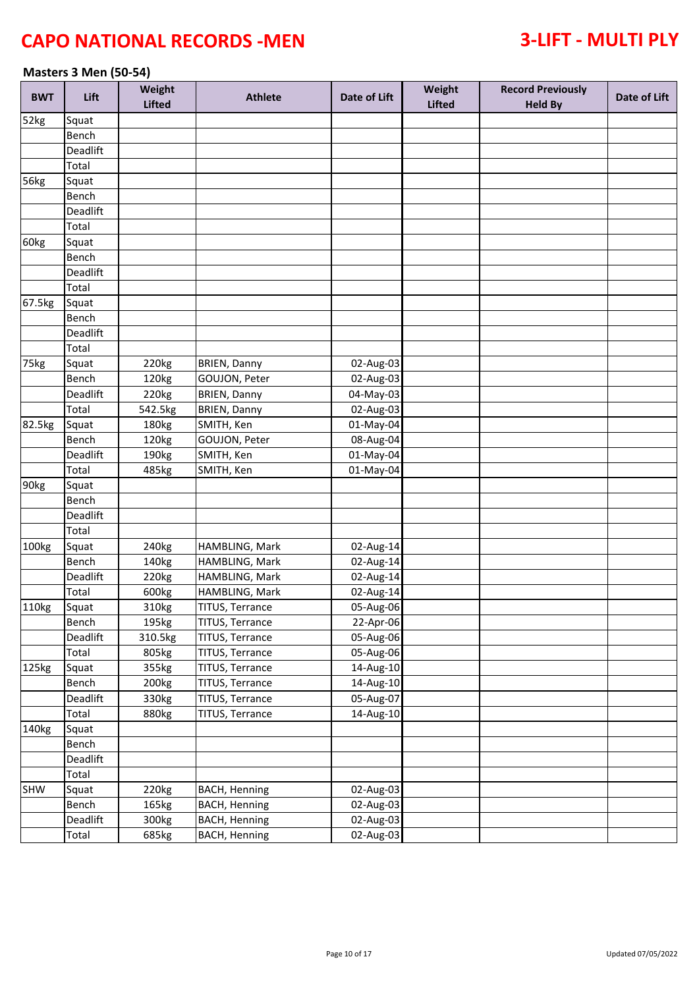### **Masters 3 Men (50-54)**

| <b>BWT</b> | Lift     | Weight<br><b>Lifted</b> | <b>Athlete</b>         | Date of Lift | Weight<br><b>Lifted</b> | <b>Record Previously</b><br><b>Held By</b> | Date of Lift |
|------------|----------|-------------------------|------------------------|--------------|-------------------------|--------------------------------------------|--------------|
| 52kg       | Squat    |                         |                        |              |                         |                                            |              |
|            | Bench    |                         |                        |              |                         |                                            |              |
|            | Deadlift |                         |                        |              |                         |                                            |              |
|            | Total    |                         |                        |              |                         |                                            |              |
| 56kg       | Squat    |                         |                        |              |                         |                                            |              |
|            | Bench    |                         |                        |              |                         |                                            |              |
|            | Deadlift |                         |                        |              |                         |                                            |              |
|            | Total    |                         |                        |              |                         |                                            |              |
| 60kg       | Squat    |                         |                        |              |                         |                                            |              |
|            | Bench    |                         |                        |              |                         |                                            |              |
|            | Deadlift |                         |                        |              |                         |                                            |              |
|            | Total    |                         |                        |              |                         |                                            |              |
| 67.5kg     | Squat    |                         |                        |              |                         |                                            |              |
|            | Bench    |                         |                        |              |                         |                                            |              |
|            | Deadlift |                         |                        |              |                         |                                            |              |
|            | Total    |                         |                        |              |                         |                                            |              |
| 75kg       | Squat    | 220kg                   | <b>BRIEN, Danny</b>    | 02-Aug-03    |                         |                                            |              |
|            | Bench    | 120kg                   | GOUJON, Peter          | 02-Aug-03    |                         |                                            |              |
|            | Deadlift | 220kg                   | <b>BRIEN, Danny</b>    | 04-May-03    |                         |                                            |              |
|            | Total    | 542.5kg                 | <b>BRIEN, Danny</b>    | 02-Aug-03    |                         |                                            |              |
| 82.5kg     | Squat    | 180kg                   | SMITH, Ken             | 01-May-04    |                         |                                            |              |
|            | Bench    | 120kg                   | GOUJON, Peter          | 08-Aug-04    |                         |                                            |              |
|            | Deadlift | 190kg                   | SMITH, Ken             | 01-May-04    |                         |                                            |              |
|            | Total    | 485kg                   | SMITH, Ken             | 01-May-04    |                         |                                            |              |
| 90kg       | Squat    |                         |                        |              |                         |                                            |              |
|            | Bench    |                         |                        |              |                         |                                            |              |
|            | Deadlift |                         |                        |              |                         |                                            |              |
|            | Total    |                         |                        |              |                         |                                            |              |
| 100kg      | Squat    | 240 <sub>kg</sub>       | HAMBLING, Mark         | 02-Aug-14    |                         |                                            |              |
|            | Bench    | 140kg                   | HAMBLING, Mark         | 02-Aug-14    |                         |                                            |              |
|            | Deadlift | 220 <sub>kg</sub>       | HAMBLING, Mark         | 02-Aug-14    |                         |                                            |              |
|            | Total    | 600kg                   | HAMBLING, Mark         | 02-Aug-14    |                         |                                            |              |
| 110kg      | Squat    | 310kg                   | <b>TITUS, Terrance</b> | 05-Aug-06    |                         |                                            |              |
|            | Bench    | 195kg                   | TITUS, Terrance        | 22-Apr-06    |                         |                                            |              |
|            | Deadlift | 310.5kg                 | TITUS, Terrance        | 05-Aug-06    |                         |                                            |              |
|            | Total    | 805kg                   | TITUS, Terrance        | 05-Aug-06    |                         |                                            |              |
| 125kg      | Squat    | 355kg                   | TITUS, Terrance        | 14-Aug-10    |                         |                                            |              |
|            | Bench    | 200 <sub>kg</sub>       | TITUS, Terrance        | 14-Aug-10    |                         |                                            |              |
|            | Deadlift | 330kg                   | TITUS, Terrance        | 05-Aug-07    |                         |                                            |              |
|            | Total    | 880kg                   | TITUS, Terrance        | 14-Aug-10    |                         |                                            |              |
| 140kg      | Squat    |                         |                        |              |                         |                                            |              |
|            | Bench    |                         |                        |              |                         |                                            |              |
|            | Deadlift |                         |                        |              |                         |                                            |              |
|            | Total    |                         |                        |              |                         |                                            |              |
| SHW        | Squat    | 220kg                   | <b>BACH, Henning</b>   | 02-Aug-03    |                         |                                            |              |
|            | Bench    | 165kg                   | <b>BACH, Henning</b>   | 02-Aug-03    |                         |                                            |              |
|            | Deadlift | 300kg                   | <b>BACH, Henning</b>   | 02-Aug-03    |                         |                                            |              |
|            | Total    | 685kg                   | <b>BACH, Henning</b>   | 02-Aug-03    |                         |                                            |              |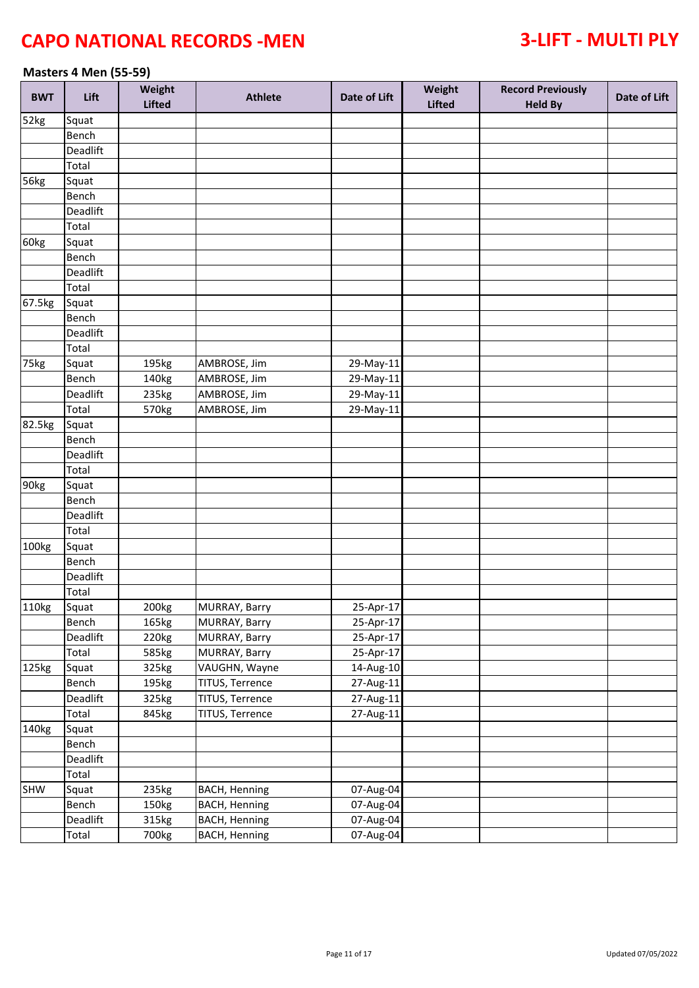### **Masters 4 Men (55-59)**

| <b>BWT</b> | Lift     | Weight<br><b>Lifted</b> | <b>Athlete</b>       | Date of Lift | Weight<br>Lifted | <b>Record Previously</b><br><b>Held By</b> | Date of Lift |
|------------|----------|-------------------------|----------------------|--------------|------------------|--------------------------------------------|--------------|
| 52kg       | Squat    |                         |                      |              |                  |                                            |              |
|            | Bench    |                         |                      |              |                  |                                            |              |
|            | Deadlift |                         |                      |              |                  |                                            |              |
|            | Total    |                         |                      |              |                  |                                            |              |
| 56kg       | Squat    |                         |                      |              |                  |                                            |              |
|            | Bench    |                         |                      |              |                  |                                            |              |
|            | Deadlift |                         |                      |              |                  |                                            |              |
|            | Total    |                         |                      |              |                  |                                            |              |
| 60kg       | Squat    |                         |                      |              |                  |                                            |              |
|            | Bench    |                         |                      |              |                  |                                            |              |
|            | Deadlift |                         |                      |              |                  |                                            |              |
|            | Total    |                         |                      |              |                  |                                            |              |
| 67.5kg     | Squat    |                         |                      |              |                  |                                            |              |
|            | Bench    |                         |                      |              |                  |                                            |              |
|            | Deadlift |                         |                      |              |                  |                                            |              |
|            | Total    |                         |                      |              |                  |                                            |              |
| 75kg       | Squat    | 195kg                   | AMBROSE, Jim         | 29-May-11    |                  |                                            |              |
|            | Bench    | 140kg                   | AMBROSE, Jim         | 29-May-11    |                  |                                            |              |
|            | Deadlift | 235kg                   | AMBROSE, Jim         | 29-May-11    |                  |                                            |              |
|            | Total    | 570kg                   | AMBROSE, Jim         | 29-May-11    |                  |                                            |              |
| 82.5kg     | Squat    |                         |                      |              |                  |                                            |              |
|            | Bench    |                         |                      |              |                  |                                            |              |
|            | Deadlift |                         |                      |              |                  |                                            |              |
|            | Total    |                         |                      |              |                  |                                            |              |
| 90kg       | Squat    |                         |                      |              |                  |                                            |              |
|            | Bench    |                         |                      |              |                  |                                            |              |
|            | Deadlift |                         |                      |              |                  |                                            |              |
|            | Total    |                         |                      |              |                  |                                            |              |
| 100kg      | Squat    |                         |                      |              |                  |                                            |              |
|            | Bench    |                         |                      |              |                  |                                            |              |
|            | Deadlift |                         |                      |              |                  |                                            |              |
|            | Total    |                         |                      |              |                  |                                            |              |
| 110kg      | Squat    | 200kg                   | MURRAY, Barry        | $25-Apr-17$  |                  |                                            |              |
|            | Bench    | 165kg                   | MURRAY, Barry        | 25-Apr-17    |                  |                                            |              |
|            | Deadlift | 220kg                   | MURRAY, Barry        | 25-Apr-17    |                  |                                            |              |
|            | Total    | 585kg                   | MURRAY, Barry        | 25-Apr-17    |                  |                                            |              |
| 125kg      | Squat    | 325kg                   | VAUGHN, Wayne        | 14-Aug-10    |                  |                                            |              |
|            | Bench    | 195kg                   | TITUS, Terrence      | 27-Aug-11    |                  |                                            |              |
|            | Deadlift | 325kg                   | TITUS, Terrence      | 27-Aug-11    |                  |                                            |              |
|            | Total    | 845kg                   | TITUS, Terrence      | 27-Aug-11    |                  |                                            |              |
| 140kg      | Squat    |                         |                      |              |                  |                                            |              |
|            | Bench    |                         |                      |              |                  |                                            |              |
|            | Deadlift |                         |                      |              |                  |                                            |              |
|            | Total    |                         |                      |              |                  |                                            |              |
| SHW        | Squat    | 235kg                   | <b>BACH, Henning</b> | 07-Aug-04    |                  |                                            |              |
|            | Bench    | 150kg                   | <b>BACH, Henning</b> | 07-Aug-04    |                  |                                            |              |
|            | Deadlift | 315kg                   | <b>BACH, Henning</b> | 07-Aug-04    |                  |                                            |              |
|            | Total    | 700kg                   | <b>BACH, Henning</b> | 07-Aug-04    |                  |                                            |              |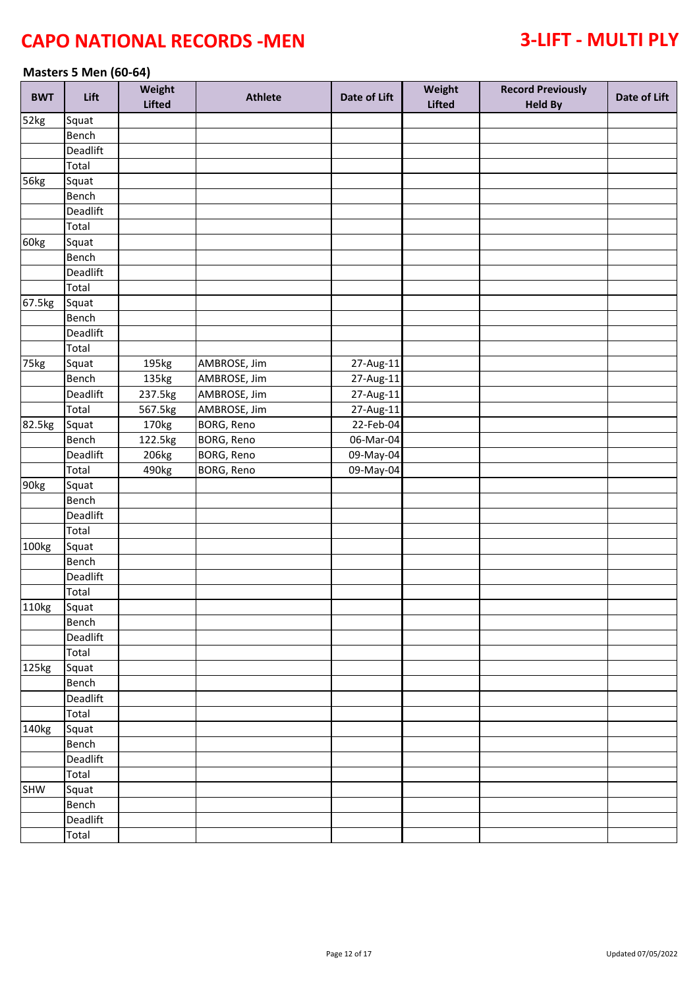### **Masters 5 Men (60-64)**

| <b>BWT</b> | Lift     | Weight<br>Lifted | <b>Athlete</b> | Date of Lift            | Weight<br><b>Lifted</b> | <b>Record Previously</b><br><b>Held By</b> | Date of Lift |
|------------|----------|------------------|----------------|-------------------------|-------------------------|--------------------------------------------|--------------|
| 52kg       | Squat    |                  |                |                         |                         |                                            |              |
|            | Bench    |                  |                |                         |                         |                                            |              |
|            | Deadlift |                  |                |                         |                         |                                            |              |
|            | Total    |                  |                |                         |                         |                                            |              |
| 56kg       | Squat    |                  |                |                         |                         |                                            |              |
|            | Bench    |                  |                |                         |                         |                                            |              |
|            | Deadlift |                  |                |                         |                         |                                            |              |
|            | Total    |                  |                |                         |                         |                                            |              |
| 60kg       | Squat    |                  |                |                         |                         |                                            |              |
|            | Bench    |                  |                |                         |                         |                                            |              |
|            | Deadlift |                  |                |                         |                         |                                            |              |
|            | Total    |                  |                |                         |                         |                                            |              |
| 67.5kg     | Squat    |                  |                |                         |                         |                                            |              |
|            | Bench    |                  |                |                         |                         |                                            |              |
|            | Deadlift |                  |                |                         |                         |                                            |              |
|            | Total    |                  |                |                         |                         |                                            |              |
| 75kg       | Squat    | 195kg            | AMBROSE, Jim   | 27-Aug-11               |                         |                                            |              |
|            | Bench    | 135kg            | AMBROSE, Jim   | $\overline{27}$ -Aug-11 |                         |                                            |              |
|            | Deadlift | 237.5kg          | AMBROSE, Jim   | $27-Aug-11$             |                         |                                            |              |
|            | Total    | 567.5kg          | AMBROSE, Jim   | 27-Aug-11               |                         |                                            |              |
| 82.5kg     | Squat    | 170kg            | BORG, Reno     | 22-Feb-04               |                         |                                            |              |
|            | Bench    | 122.5kg          | BORG, Reno     | 06-Mar-04               |                         |                                            |              |
|            | Deadlift | 206kg            | BORG, Reno     | 09-May-04               |                         |                                            |              |
|            | Total    | 490kg            | BORG, Reno     | 09-May-04               |                         |                                            |              |
| 90kg       | Squat    |                  |                |                         |                         |                                            |              |
|            | Bench    |                  |                |                         |                         |                                            |              |
|            | Deadlift |                  |                |                         |                         |                                            |              |
|            | Total    |                  |                |                         |                         |                                            |              |
| 100kg      | Squat    |                  |                |                         |                         |                                            |              |
|            | Bench    |                  |                |                         |                         |                                            |              |
|            | Deadlift |                  |                |                         |                         |                                            |              |
|            | Total    |                  |                |                         |                         |                                            |              |
| 110kg      | Squat    |                  |                |                         |                         |                                            |              |
|            | Bench    |                  |                |                         |                         |                                            |              |
|            | Deadlift |                  |                |                         |                         |                                            |              |
|            | Total    |                  |                |                         |                         |                                            |              |
| 125kg      | Squat    |                  |                |                         |                         |                                            |              |
|            | Bench    |                  |                |                         |                         |                                            |              |
|            | Deadlift |                  |                |                         |                         |                                            |              |
|            | Total    |                  |                |                         |                         |                                            |              |
| 140kg      | Squat    |                  |                |                         |                         |                                            |              |
|            | Bench    |                  |                |                         |                         |                                            |              |
|            | Deadlift |                  |                |                         |                         |                                            |              |
|            | Total    |                  |                |                         |                         |                                            |              |
| SHW        | Squat    |                  |                |                         |                         |                                            |              |
|            | Bench    |                  |                |                         |                         |                                            |              |
|            | Deadlift |                  |                |                         |                         |                                            |              |
|            | Total    |                  |                |                         |                         |                                            |              |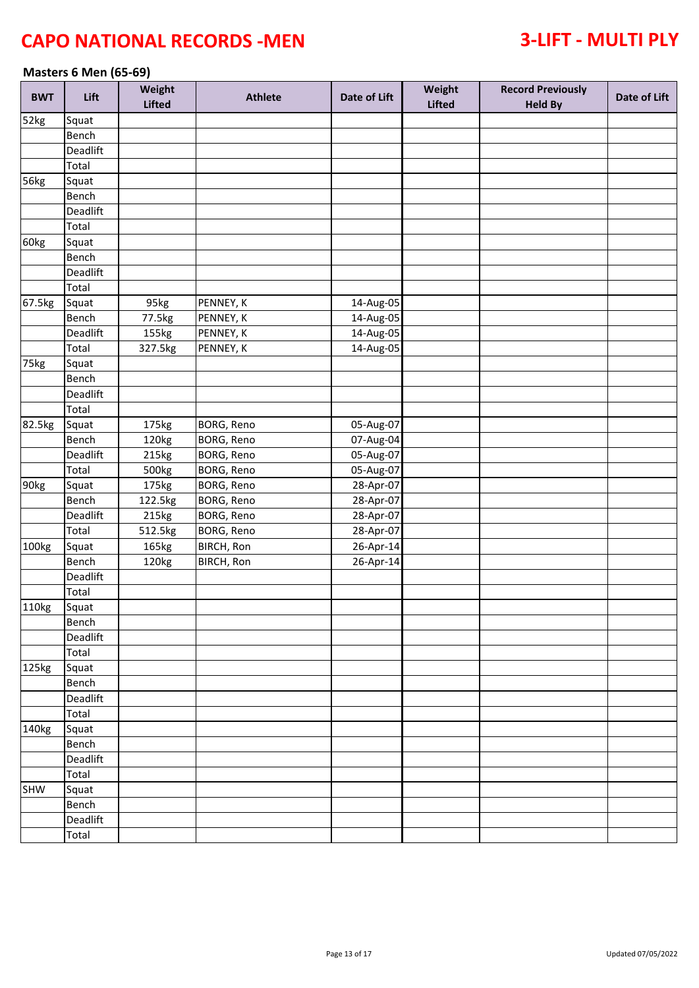### **Masters 6 Men (65-69)**

| <b>BWT</b>  | Lift     | Weight<br><b>Lifted</b> | <b>Athlete</b>    | Date of Lift | Weight<br><b>Lifted</b> | <b>Record Previously</b><br><b>Held By</b> | Date of Lift |
|-------------|----------|-------------------------|-------------------|--------------|-------------------------|--------------------------------------------|--------------|
| 52kg        | Squat    |                         |                   |              |                         |                                            |              |
|             | Bench    |                         |                   |              |                         |                                            |              |
|             | Deadlift |                         |                   |              |                         |                                            |              |
|             | Total    |                         |                   |              |                         |                                            |              |
| <b>56kg</b> | Squat    |                         |                   |              |                         |                                            |              |
|             | Bench    |                         |                   |              |                         |                                            |              |
|             | Deadlift |                         |                   |              |                         |                                            |              |
|             | Total    |                         |                   |              |                         |                                            |              |
| 60kg        | Squat    |                         |                   |              |                         |                                            |              |
|             | Bench    |                         |                   |              |                         |                                            |              |
|             | Deadlift |                         |                   |              |                         |                                            |              |
|             | Total    |                         |                   |              |                         |                                            |              |
| 67.5kg      | Squat    | 95kg                    | PENNEY, K         | 14-Aug-05    |                         |                                            |              |
|             | Bench    | 77.5kg                  | PENNEY, K         | 14-Aug-05    |                         |                                            |              |
|             | Deadlift | 155kg                   | PENNEY, K         | 14-Aug-05    |                         |                                            |              |
|             | Total    | 327.5kg                 | PENNEY, K         | 14-Aug-05    |                         |                                            |              |
| 75kg        | Squat    |                         |                   |              |                         |                                            |              |
|             | Bench    |                         |                   |              |                         |                                            |              |
|             | Deadlift |                         |                   |              |                         |                                            |              |
|             | Total    |                         |                   |              |                         |                                            |              |
| 82.5kg      | Squat    | 175kg                   | BORG, Reno        | 05-Aug-07    |                         |                                            |              |
|             | Bench    | 120kg                   | BORG, Reno        | 07-Aug-04    |                         |                                            |              |
|             | Deadlift | 215kg                   | BORG, Reno        | 05-Aug-07    |                         |                                            |              |
|             | Total    | 500kg                   | BORG, Reno        | 05-Aug-07    |                         |                                            |              |
| 90kg        | Squat    | 175kg                   | BORG, Reno        | 28-Apr-07    |                         |                                            |              |
|             | Bench    | 122.5kg                 | BORG, Reno        | 28-Apr-07    |                         |                                            |              |
|             | Deadlift | 215kg                   | BORG, Reno        | 28-Apr-07    |                         |                                            |              |
|             | Total    | 512.5kg                 | BORG, Reno        | 28-Apr-07    |                         |                                            |              |
| 100kg       | Squat    | 165kg                   | <b>BIRCH, Ron</b> | 26-Apr-14    |                         |                                            |              |
|             | Bench    | 120kg                   | BIRCH, Ron        | 26-Apr-14    |                         |                                            |              |
|             | Deadlift |                         |                   |              |                         |                                            |              |
|             | Total    |                         |                   |              |                         |                                            |              |
| 110kg       | Squat    |                         |                   |              |                         |                                            |              |
|             | Bench    |                         |                   |              |                         |                                            |              |
|             | Deadlift |                         |                   |              |                         |                                            |              |
|             | Total    |                         |                   |              |                         |                                            |              |
| 125kg       | Squat    |                         |                   |              |                         |                                            |              |
|             | Bench    |                         |                   |              |                         |                                            |              |
|             | Deadlift |                         |                   |              |                         |                                            |              |
|             | Total    |                         |                   |              |                         |                                            |              |
| 140kg       | Squat    |                         |                   |              |                         |                                            |              |
|             | Bench    |                         |                   |              |                         |                                            |              |
|             | Deadlift |                         |                   |              |                         |                                            |              |
|             | Total    |                         |                   |              |                         |                                            |              |
| SHW         | Squat    |                         |                   |              |                         |                                            |              |
|             | Bench    |                         |                   |              |                         |                                            |              |
|             | Deadlift |                         |                   |              |                         |                                            |              |
|             | Total    |                         |                   |              |                         |                                            |              |
|             |          |                         |                   |              |                         |                                            |              |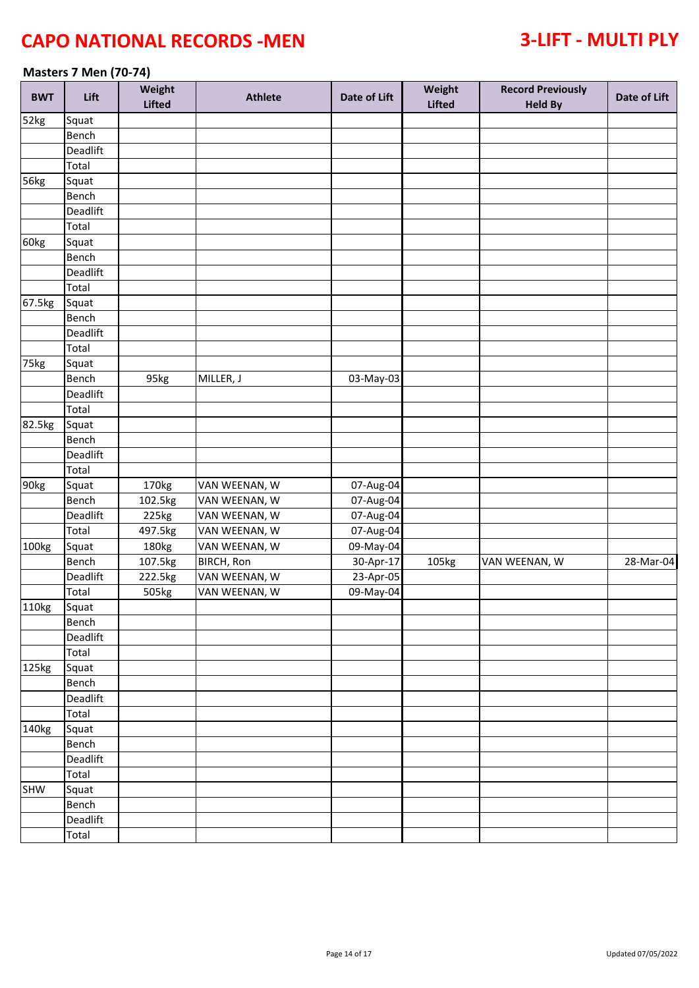### **Masters 7 Men (70-74)**

| <b>BWT</b> | Lift     | Weight<br><b>Lifted</b> | <b>Athlete</b>    | Date of Lift | Weight<br><b>Lifted</b> | <b>Record Previously</b><br><b>Held By</b> | Date of Lift |
|------------|----------|-------------------------|-------------------|--------------|-------------------------|--------------------------------------------|--------------|
| 52kg       | Squat    |                         |                   |              |                         |                                            |              |
|            | Bench    |                         |                   |              |                         |                                            |              |
|            | Deadlift |                         |                   |              |                         |                                            |              |
|            | Total    |                         |                   |              |                         |                                            |              |
| 56kg       | Squat    |                         |                   |              |                         |                                            |              |
|            | Bench    |                         |                   |              |                         |                                            |              |
|            | Deadlift |                         |                   |              |                         |                                            |              |
|            | Total    |                         |                   |              |                         |                                            |              |
| 60kg       | Squat    |                         |                   |              |                         |                                            |              |
|            | Bench    |                         |                   |              |                         |                                            |              |
|            | Deadlift |                         |                   |              |                         |                                            |              |
|            | Total    |                         |                   |              |                         |                                            |              |
| 67.5kg     | Squat    |                         |                   |              |                         |                                            |              |
|            | Bench    |                         |                   |              |                         |                                            |              |
|            | Deadlift |                         |                   |              |                         |                                            |              |
|            | Total    |                         |                   |              |                         |                                            |              |
| 75kg       | Squat    |                         |                   |              |                         |                                            |              |
|            | Bench    | 95kg                    | MILLER, J         | 03-May-03    |                         |                                            |              |
|            | Deadlift |                         |                   |              |                         |                                            |              |
|            | Total    |                         |                   |              |                         |                                            |              |
| 82.5kg     | Squat    |                         |                   |              |                         |                                            |              |
|            | Bench    |                         |                   |              |                         |                                            |              |
|            | Deadlift |                         |                   |              |                         |                                            |              |
|            | Total    |                         |                   |              |                         |                                            |              |
| 90kg       | Squat    | 170kg                   | VAN WEENAN, W     | 07-Aug-04    |                         |                                            |              |
|            | Bench    | 102.5kg                 | VAN WEENAN, W     | 07-Aug-04    |                         |                                            |              |
|            | Deadlift | 225kg                   | VAN WEENAN, W     | 07-Aug-04    |                         |                                            |              |
|            | Total    | 497.5kg                 | VAN WEENAN, W     | 07-Aug-04    |                         |                                            |              |
| 100kg      | Squat    | 180kg                   | VAN WEENAN, W     | 09-May-04    |                         |                                            |              |
|            | Bench    | 107.5kg                 | <b>BIRCH, Ron</b> | 30-Apr-17    | 105kg                   | VAN WEENAN, W                              | 28-Mar-04    |
|            | Deadlift | 222.5kg                 | VAN WEENAN, W     | 23-Apr-05    |                         |                                            |              |
|            | Total    | 505kg                   | VAN WEENAN, W     | 09-May-04    |                         |                                            |              |
| 110kg      | Squat    |                         |                   |              |                         |                                            |              |
|            | Bench    |                         |                   |              |                         |                                            |              |
|            | Deadlift |                         |                   |              |                         |                                            |              |
|            | Total    |                         |                   |              |                         |                                            |              |
| 125kg      | Squat    |                         |                   |              |                         |                                            |              |
|            | Bench    |                         |                   |              |                         |                                            |              |
|            | Deadlift |                         |                   |              |                         |                                            |              |
|            | Total    |                         |                   |              |                         |                                            |              |
| 140kg      | Squat    |                         |                   |              |                         |                                            |              |
|            | Bench    |                         |                   |              |                         |                                            |              |
|            | Deadlift |                         |                   |              |                         |                                            |              |
|            | Total    |                         |                   |              |                         |                                            |              |
| SHW        | Squat    |                         |                   |              |                         |                                            |              |
|            | Bench    |                         |                   |              |                         |                                            |              |
|            | Deadlift |                         |                   |              |                         |                                            |              |
|            | Total    |                         |                   |              |                         |                                            |              |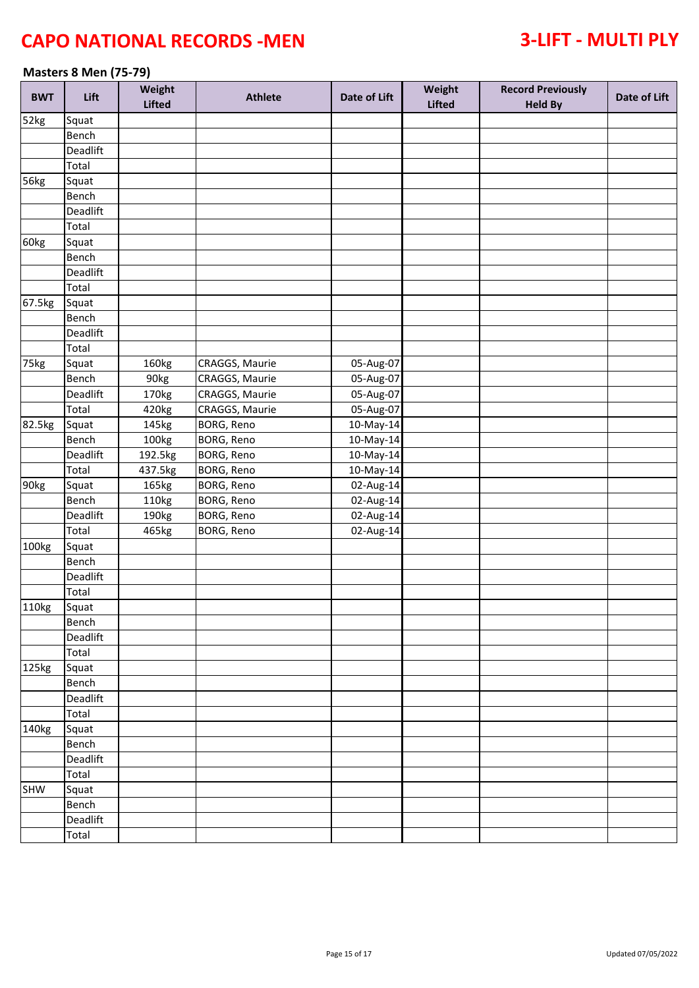### **Masters 8 Men (75-79)**

| <b>BWT</b>       | Lift     | Weight<br><b>Lifted</b> | <b>Athlete</b>    | Date of Lift | Weight<br><b>Lifted</b> | <b>Record Previously</b><br><b>Held By</b> | Date of Lift |
|------------------|----------|-------------------------|-------------------|--------------|-------------------------|--------------------------------------------|--------------|
| 52kg             | Squat    |                         |                   |              |                         |                                            |              |
|                  | Bench    |                         |                   |              |                         |                                            |              |
|                  | Deadlift |                         |                   |              |                         |                                            |              |
|                  | Total    |                         |                   |              |                         |                                            |              |
| 56kg             | Squat    |                         |                   |              |                         |                                            |              |
|                  | Bench    |                         |                   |              |                         |                                            |              |
|                  | Deadlift |                         |                   |              |                         |                                            |              |
|                  | Total    |                         |                   |              |                         |                                            |              |
| 60kg             | Squat    |                         |                   |              |                         |                                            |              |
|                  | Bench    |                         |                   |              |                         |                                            |              |
|                  | Deadlift |                         |                   |              |                         |                                            |              |
|                  | Total    |                         |                   |              |                         |                                            |              |
| 67.5kg           | Squat    |                         |                   |              |                         |                                            |              |
|                  | Bench    |                         |                   |              |                         |                                            |              |
|                  | Deadlift |                         |                   |              |                         |                                            |              |
|                  | Total    |                         |                   |              |                         |                                            |              |
| 75kg             | Squat    | 160kg                   | CRAGGS, Maurie    | 05-Aug-07    |                         |                                            |              |
|                  | Bench    | 90kg                    | CRAGGS, Maurie    | 05-Aug-07    |                         |                                            |              |
|                  | Deadlift | 170kg                   | CRAGGS, Maurie    | 05-Aug-07    |                         |                                            |              |
|                  | Total    | 420kg                   | CRAGGS, Maurie    | 05-Aug-07    |                         |                                            |              |
| 82.5kg           | Squat    | 145kg                   | <b>BORG, Reno</b> | 10-May-14    |                         |                                            |              |
|                  | Bench    | 100kg                   | <b>BORG, Reno</b> | 10-May-14    |                         |                                            |              |
|                  | Deadlift | 192.5kg                 | BORG, Reno        | 10-May-14    |                         |                                            |              |
|                  | Total    | 437.5kg                 | BORG, Reno        | 10-May-14    |                         |                                            |              |
| 90 <sub>kg</sub> | Squat    | 165kg                   | BORG, Reno        | 02-Aug-14    |                         |                                            |              |
|                  | Bench    | 110kg                   | BORG, Reno        | 02-Aug-14    |                         |                                            |              |
|                  | Deadlift | 190kg                   | BORG, Reno        | 02-Aug-14    |                         |                                            |              |
|                  | Total    | 465kg                   | BORG, Reno        | 02-Aug-14    |                         |                                            |              |
| 100kg            | Squat    |                         |                   |              |                         |                                            |              |
|                  | Bench    |                         |                   |              |                         |                                            |              |
|                  | Deadlift |                         |                   |              |                         |                                            |              |
|                  | Total    |                         |                   |              |                         |                                            |              |
| 110kg            | Squat    |                         |                   |              |                         |                                            |              |
|                  | Bench    |                         |                   |              |                         |                                            |              |
|                  | Deadlift |                         |                   |              |                         |                                            |              |
|                  | Total    |                         |                   |              |                         |                                            |              |
| 125kg            | Squat    |                         |                   |              |                         |                                            |              |
|                  | Bench    |                         |                   |              |                         |                                            |              |
|                  | Deadlift |                         |                   |              |                         |                                            |              |
|                  | Total    |                         |                   |              |                         |                                            |              |
| 140kg            | Squat    |                         |                   |              |                         |                                            |              |
|                  | Bench    |                         |                   |              |                         |                                            |              |
|                  | Deadlift |                         |                   |              |                         |                                            |              |
|                  | Total    |                         |                   |              |                         |                                            |              |
| SHW              | Squat    |                         |                   |              |                         |                                            |              |
|                  | Bench    |                         |                   |              |                         |                                            |              |
|                  | Deadlift |                         |                   |              |                         |                                            |              |
|                  | Total    |                         |                   |              |                         |                                            |              |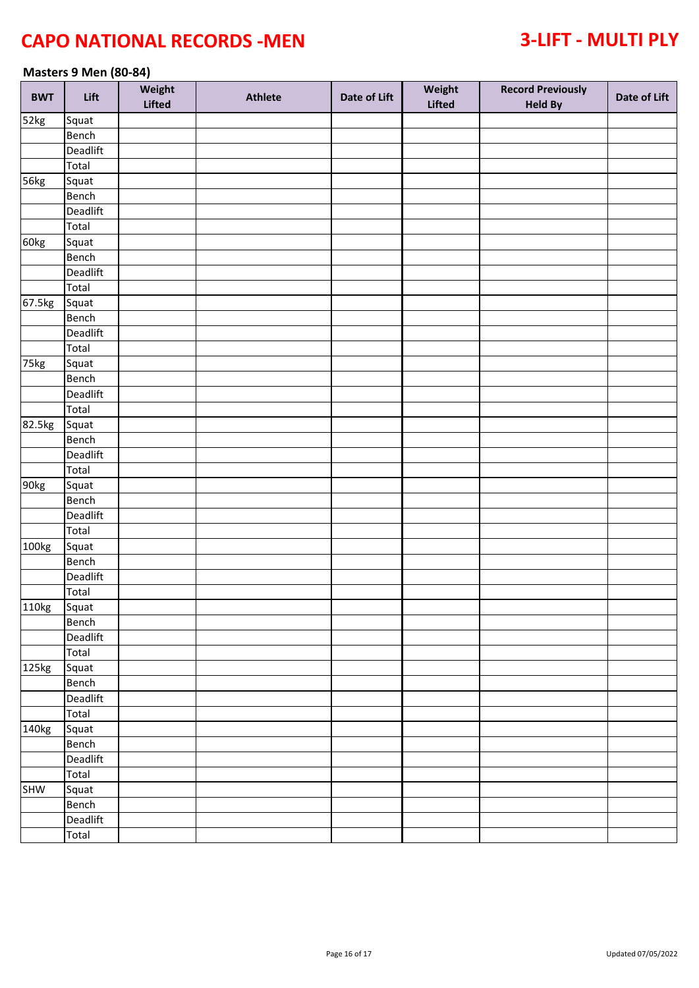### **Masters 9 Men (80-84)**

| <b>BWT</b>       | Lift     | Weight<br><b>Lifted</b> | <b>Athlete</b> | Date of Lift | Weight<br><b>Lifted</b> | <b>Record Previously</b><br><b>Held By</b> | Date of Lift |
|------------------|----------|-------------------------|----------------|--------------|-------------------------|--------------------------------------------|--------------|
| 52kg             | Squat    |                         |                |              |                         |                                            |              |
|                  | Bench    |                         |                |              |                         |                                            |              |
|                  | Deadlift |                         |                |              |                         |                                            |              |
|                  | Total    |                         |                |              |                         |                                            |              |
| 56kg             | Squat    |                         |                |              |                         |                                            |              |
|                  | Bench    |                         |                |              |                         |                                            |              |
|                  | Deadlift |                         |                |              |                         |                                            |              |
|                  | Total    |                         |                |              |                         |                                            |              |
| 60kg             | Squat    |                         |                |              |                         |                                            |              |
|                  | Bench    |                         |                |              |                         |                                            |              |
|                  | Deadlift |                         |                |              |                         |                                            |              |
|                  | Total    |                         |                |              |                         |                                            |              |
| 67.5kg           | Squat    |                         |                |              |                         |                                            |              |
|                  | Bench    |                         |                |              |                         |                                            |              |
|                  | Deadlift |                         |                |              |                         |                                            |              |
|                  | Total    |                         |                |              |                         |                                            |              |
| 75kg             | Squat    |                         |                |              |                         |                                            |              |
|                  | Bench    |                         |                |              |                         |                                            |              |
|                  | Deadlift |                         |                |              |                         |                                            |              |
|                  | Total    |                         |                |              |                         |                                            |              |
| 82.5kg           |          |                         |                |              |                         |                                            |              |
|                  | Squat    |                         |                |              |                         |                                            |              |
|                  | Bench    |                         |                |              |                         |                                            |              |
|                  | Deadlift |                         |                |              |                         |                                            |              |
|                  | Total    |                         |                |              |                         |                                            |              |
| 90 <sub>kg</sub> | Squat    |                         |                |              |                         |                                            |              |
|                  | Bench    |                         |                |              |                         |                                            |              |
|                  | Deadlift |                         |                |              |                         |                                            |              |
|                  | Total    |                         |                |              |                         |                                            |              |
| 100kg            | Squat    |                         |                |              |                         |                                            |              |
|                  | Bench    |                         |                |              |                         |                                            |              |
|                  | Deadlift |                         |                |              |                         |                                            |              |
|                  | Total    |                         |                |              |                         |                                            |              |
| 110kg            | Squat    |                         |                |              |                         |                                            |              |
|                  | Bench    |                         |                |              |                         |                                            |              |
|                  | Deadlift |                         |                |              |                         |                                            |              |
|                  | Total    |                         |                |              |                         |                                            |              |
| 125kg            | Squat    |                         |                |              |                         |                                            |              |
|                  | Bench    |                         |                |              |                         |                                            |              |
|                  | Deadlift |                         |                |              |                         |                                            |              |
|                  | Total    |                         |                |              |                         |                                            |              |
| 140kg            | Squat    |                         |                |              |                         |                                            |              |
|                  | Bench    |                         |                |              |                         |                                            |              |
|                  | Deadlift |                         |                |              |                         |                                            |              |
|                  | Total    |                         |                |              |                         |                                            |              |
| SHW              | Squat    |                         |                |              |                         |                                            |              |
|                  | Bench    |                         |                |              |                         |                                            |              |
|                  | Deadlift |                         |                |              |                         |                                            |              |
|                  | Total    |                         |                |              |                         |                                            |              |